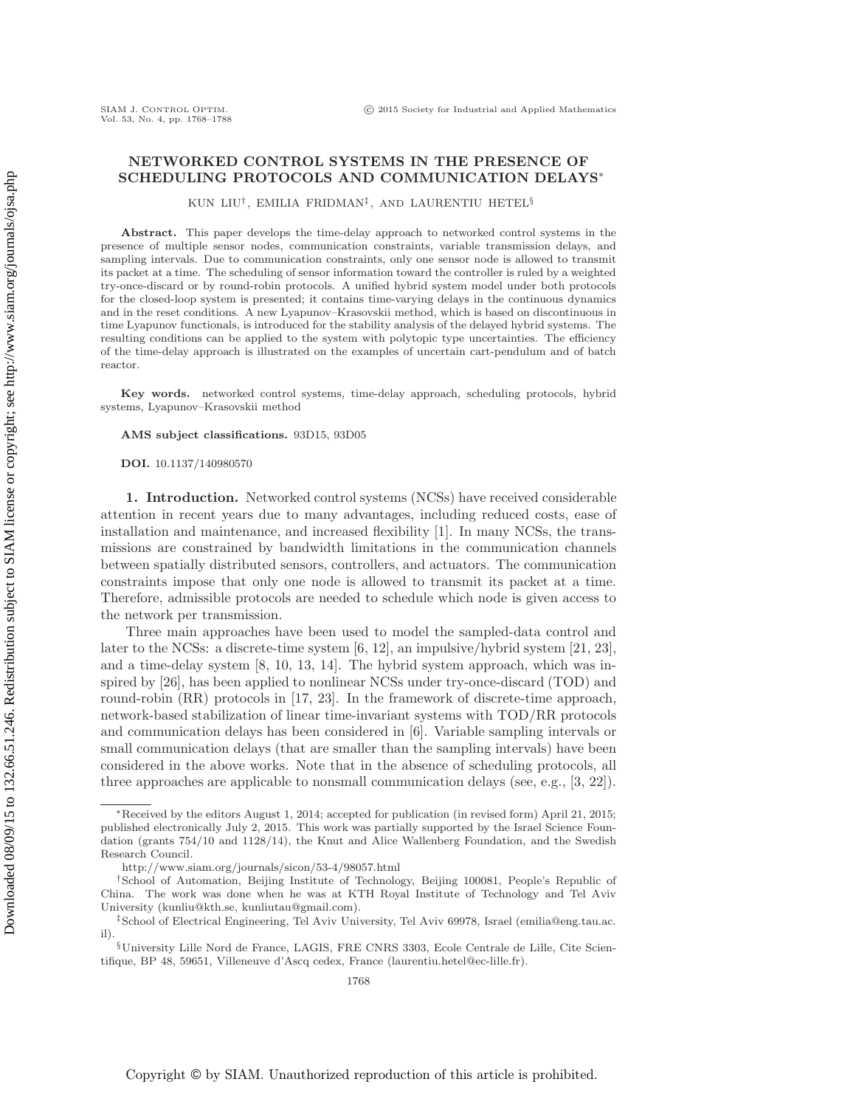Downloaded 08/09/15 to 132.66.51.246. Redistribution subject to SIAM license or copyright; see http://www.siam.org/journals/ojsa.php Downloaded 08/09/15 to 132.66.51.246. Redistribution subject to SIAM license or copyright; see http://www.siam.org/journals/ojsa.php

# **NETWORKED CONTROL SYSTEMS IN THE PRESENCE OF SCHEDULING PROTOCOLS AND COMMUNICATION DELAYS**<sup>∗</sup>

KUN LIU† , EMILIA FRIDMAN‡, AND LAURENTIU HETEL§

**Abstract.** This paper develops the time-delay approach to networked control systems in the presence of multiple sensor nodes, communication constraints, variable transmission delays, and sampling intervals. Due to communication constraints, only one sensor node is allowed to transmit its packet at a time. The scheduling of sensor information toward the controller is ruled by a weighted try-once-discard or by round-robin protocols. A unified hybrid system model under both protocols for the closed-loop system is presented; it contains time-varying delays in the continuous dynamics and in the reset conditions. A new Lyapunov–Krasovskii method, which is based on discontinuous in time Lyapunov functionals, is introduced for the stability analysis of the delayed hybrid systems. The resulting conditions can be applied to the system with polytopic type uncertainties. The efficiency of the time-delay approach is illustrated on the examples of uncertain cart-pendulum and of batch reactor.

**Key words.** networked control systems, time-delay approach, scheduling protocols, hybrid systems, Lyapunov–Krasovskii method

**AMS subject classifications.** 93D15, 93D05

**DOI.** 10.1137/140980570

**1. Introduction.** Networked control systems (NCSs) have received considerable attention in recent years due to many advantages, including reduced costs, ease of installation and maintenance, and increased flexibility [\[1\]](#page-19-0). In many NCSs, the transmissions are constrained by bandwidth limitations in the communication channels between spatially distributed sensors, controllers, and actuators. The communication constraints impose that only one node is allowed to transmit its packet at a time. Therefore, admissible protocols are needed to schedule which node is given access to the network per transmission.

Three main approaches have been used to model the sampled-data control and later to the NCSs: a discrete-time system [\[6,](#page-20-0) [12\]](#page-20-1), an impulsive/hybrid system [\[21,](#page-20-2) [23\]](#page-20-3), and a time-delay system [\[8,](#page-20-4) [10,](#page-20-5) [13,](#page-20-6) [14\]](#page-20-7). The hybrid system approach, which was inspired by [\[26\]](#page-20-8), has been applied to nonlinear NCSs under try-once-discard (TOD) and round-robin (RR) protocols in [\[17,](#page-20-9) [23\]](#page-20-3). In the framework of discrete-time approach, network-based stabilization of linear time-invariant systems with TOD/RR protocols and communication delays has been considered in [\[6\]](#page-20-0). Variable sampling intervals or small communication delays (that are smaller than the sampling intervals) have been considered in the above works. Note that in the absence of scheduling protocols, all three approaches are applicable to nonsmall communication delays (see, e.g., [\[3,](#page-20-10) [22\]](#page-20-11)).

<sup>∗</sup>Received by the editors August 1, 2014; accepted for publication (in revised form) April 21, 2015; published electronically July 2, 2015. This work was partially supported by the Israel Science Foundation (grants 754/10 and 1128/14), the Knut and Alice Wallenberg Foundation, and the Swedish Research Council.

<http://www.siam.org/journals/sicon/53-4/98057.html>

<sup>†</sup>School of Automation, Beijing Institute of Technology, Beijing 100081, People's Republic of China. The work was done when he was at KTH Royal Institute of Technology and Tel Aviv University [\(kunliu@kth.se,](mailto:kunliu@kth.se) [kunliutau@gmail.com\)](mailto:kunliutau@gmail.com).

<sup>‡</sup>School of Electrical Engineering, Tel Aviv University, Tel Aviv 69978, Israel [\(emilia@eng.tau.ac.](mailto:emilia@eng.tau.ac.il) [il\)](mailto:emilia@eng.tau.ac.il).

<sup>§</sup>University Lille Nord de France, LAGIS, FRE CNRS 3303, Ecole Centrale de Lille, Cite Scientifique, BP 48, 59651, Villeneuve d'Ascq cedex, France [\(laurentiu.hetel@ec-lille.fr\)](mailto:laurentiu.hetel@ec-lille.fr).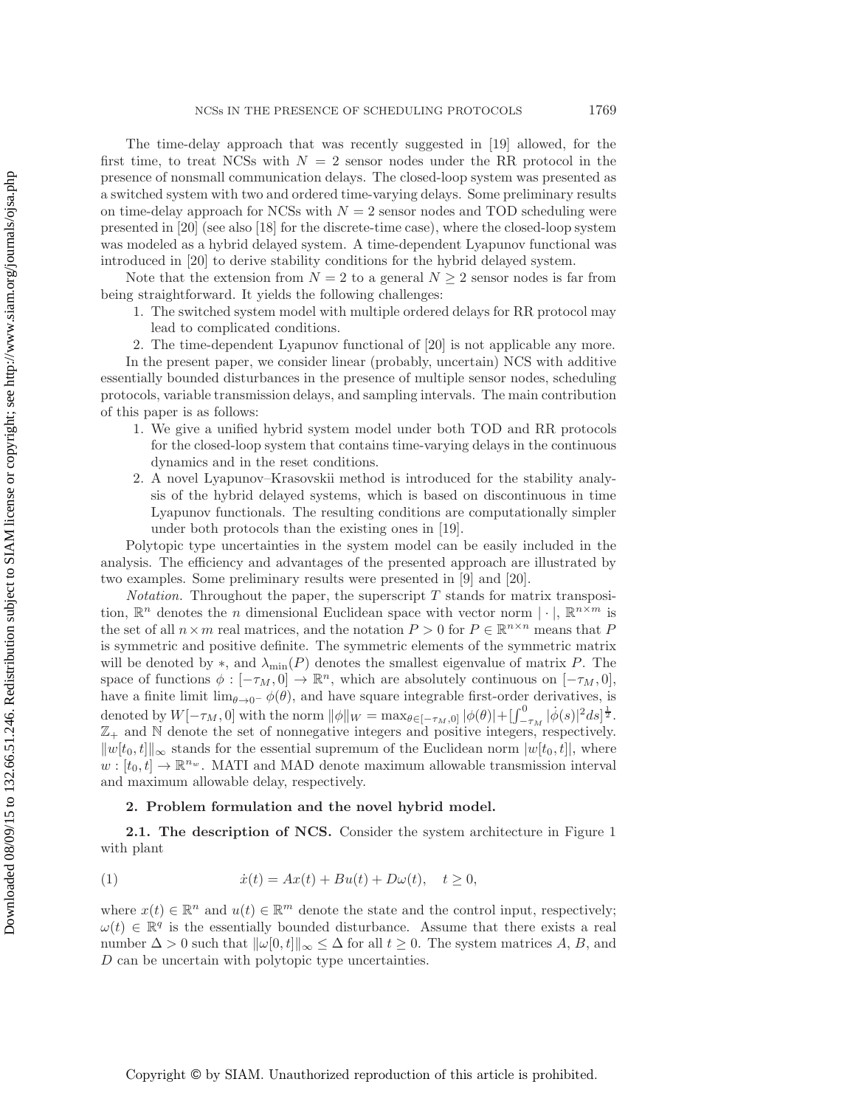The time-delay approach that was recently suggested in [\[19\]](#page-20-12) allowed, for the first time, to treat NCSs with  $N = 2$  sensor nodes under the RR protocol in the presence of nonsmall communication delays. The closed-loop system was presented as a switched system with two and ordered time-varying delays. Some preliminary results on time-delay approach for NCSs with  $N = 2$  sensor nodes and TOD scheduling were presented in [\[20\]](#page-20-13) (see also [\[18\]](#page-20-14) for the discrete-time case), where the closed-loop system was modeled as a hybrid delayed system. A time-dependent Lyapunov functional was introduced in [\[20\]](#page-20-13) to derive stability conditions for the hybrid delayed system.

Note that the extension from  $N = 2$  to a general  $N \geq 2$  sensor nodes is far from being straightforward. It yields the following challenges:

1. The switched system model with multiple ordered delays for RR protocol may lead to complicated conditions.

2. The time-dependent Lyapunov functional of [\[20\]](#page-20-13) is not applicable any more. In the present paper, we consider linear (probably, uncertain) NCS with additive essentially bounded disturbances in the presence of multiple sensor nodes, scheduling protocols, variable transmission delays, and sampling intervals. The main contribution of this paper is as follows:

- 1. We give a unified hybrid system model under both TOD and RR protocols for the closed-loop system that contains time-varying delays in the continuous dynamics and in the reset conditions.
- 2. A novel Lyapunov–Krasovskii method is introduced for the stability analysis of the hybrid delayed systems, which is based on discontinuous in time Lyapunov functionals. The resulting conditions are computationally simpler under both protocols than the existing ones in [\[19\]](#page-20-12).

Polytopic type uncertainties in the system model can be easily included in the analysis. The efficiency and advantages of the presented approach are illustrated by two examples. Some preliminary results were presented in [\[9\]](#page-20-15) and [\[20\]](#page-20-13).

*Notation.* Throughout the paper, the superscript  $T$  stands for matrix transposition,  $\mathbb{R}^n$  denotes the *n* dimensional Euclidean space with vector norm  $|\cdot|$ ,  $\mathbb{R}^{n \times m}$  is the set of all  $n \times m$  real matrices, and the notation  $P > 0$  for  $P \in \mathbb{R}^{n \times n}$  means that P is symmetric and positive definite. The symmetric elements of the symmetric matrix will be denoted by  $\ast$ , and  $\lambda_{\min}(P)$  denotes the smallest eigenvalue of matrix P. The space of functions  $\phi : [-\tau_M, 0] \to \mathbb{R}^n$ , which are absolutely continuous on  $[-\tau_M, 0]$ , have a finite limit  $\lim_{\theta\to 0^-} \phi(\theta)$ , and have square integrable first-order derivatives, is denoted by  $W[-\tau_M, 0]$  with the norm  $\|\phi\|_W = \max_{\theta \in [-\tau_M, 0]} |\phi(\theta)| + [\int_{-\tau_M}^0 |\dot{\phi}(s)|^2 ds]^{\frac{1}{2}}.$  $\mathbb{Z}_+$  and  $\mathbb N$  denote the set of nonnegative integers and positive integers, respectively.  $||w[t_0, t]||_{\infty}$  stands for the essential supremum of the Euclidean norm  $|w[t_0, t]|$ , where  $w : [t_0, t] \to \mathbb{R}^{n_w}$ . MATI and MAD denote maximum allowable transmission interval and maximum allowable delay, respectively.

### <span id="page-1-0"></span>**2. Problem formulation and the novel hybrid model.**

**2.1. The description of NCS.** Consider the system architecture in Figure 1 with plant

(1) 
$$
\dot{x}(t) = Ax(t) + Bu(t) + D\omega(t), \quad t \ge 0,
$$

where  $x(t) \in \mathbb{R}^n$  and  $u(t) \in \mathbb{R}^m$  denote the state and the control input, respectively;  $\omega(t) \in \mathbb{R}^q$  is the essentially bounded disturbance. Assume that there exists a real number  $\Delta > 0$  such that  $\|\omega[0, t]\|_{\infty} \leq \Delta$  for all  $t \geq 0$ . The system matrices A, B, and D can be uncertain with polytopic type uncertainties.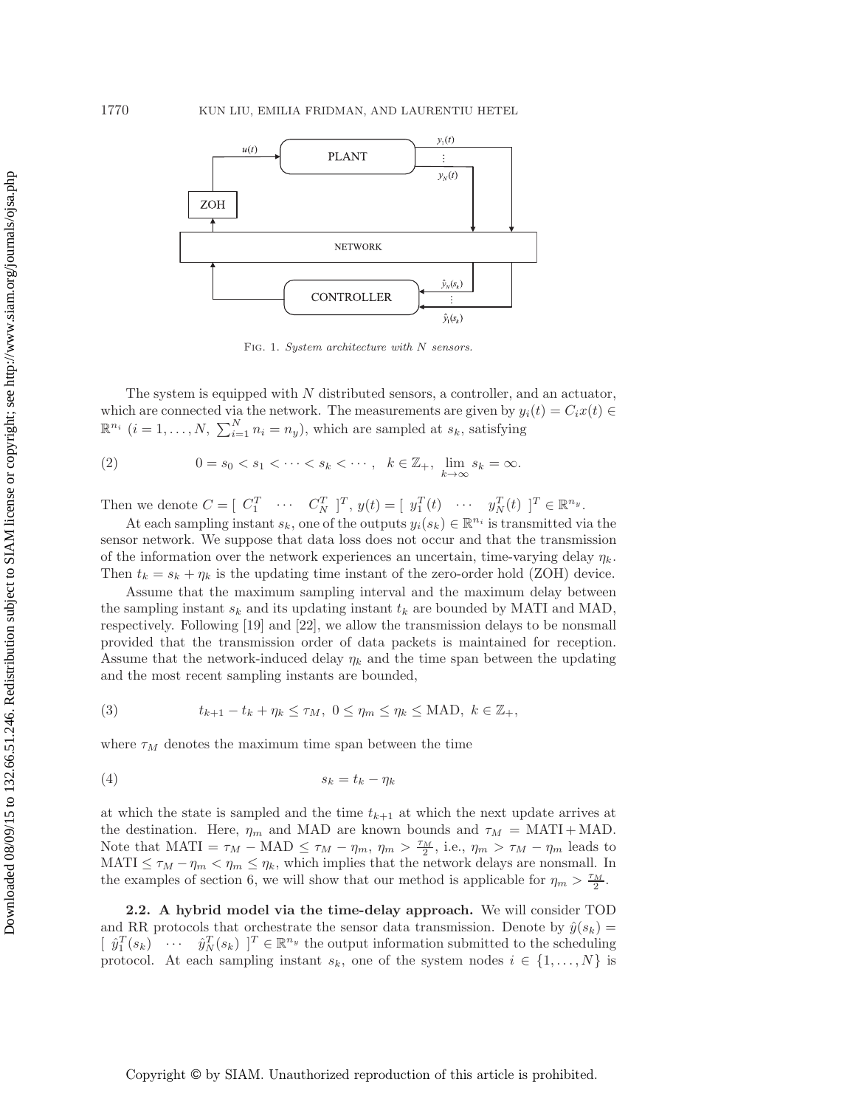

<span id="page-2-2"></span>FIG. 1. System architecture with N sensors.

The system is equipped with  $N$  distributed sensors, a controller, and an actuator, which are connected via the network. The measurements are given by  $y_i(t) = C_i x(t) \in$  $\mathbb{R}^{n_i}$  (*i* = 1, ..., *N*,  $\sum_{i=1}^{N} n_i = n_y$ ), which are sampled at  $s_k$ , satisfying

$$
(2) \t\t 0 = s_0 < s_1 < \cdots < s_k < \cdots, \quad k \in \mathbb{Z}_+, \lim_{k \to \infty} s_k = \infty.
$$

Then we denote  $C = [C_1^T \cdots C_N^T]^T$ ,  $y(t) = [y_1^T(t) \cdots y_N^T(t)]^T \in \mathbb{R}^{n_y}$ .

At each sampling instant  $s_k$ , one of the outputs  $y_i(s_k) \in \mathbb{R}^{n_i}$  is transmitted via the sensor network. We suppose that data loss does not occur and that the transmission of the information over the network experiences an uncertain, time-varying delay  $\eta_k$ . Then  $t_k = s_k + \eta_k$  is the updating time instant of the zero-order hold (ZOH) device.

Assume that the maximum sampling interval and the maximum delay between the sampling instant  $s_k$  and its updating instant  $t_k$  are bounded by MATI and MAD, respectively. Following [\[19\]](#page-20-12) and [\[22\]](#page-20-11), we allow the transmission delays to be nonsmall provided that the transmission order of data packets is maintained for reception. Assume that the network-induced delay  $\eta_k$  and the time span between the updating and the most recent sampling instants are bounded,

<span id="page-2-0"></span>(3) 
$$
t_{k+1} - t_k + \eta_k \leq \tau_M, \ 0 \leq \eta_m \leq \eta_k \leq \text{MAD}, \ k \in \mathbb{Z}_+,
$$

<span id="page-2-1"></span>where  $\tau_M$  denotes the maximum time span between the time

$$
(4) \t\t s_k = t_k - \eta_k
$$

at which the state is sampled and the time  $t_{k+1}$  at which the next update arrives at the destination. Here,  $\eta_m$  and MAD are known bounds and  $\tau_M = \text{MATI} + \text{MAD}$ . Note that MATI =  $\tau_M$  – MAD  $\leq \tau_M - \eta_m$ ,  $\eta_m > \frac{\tau_M}{2}$ , i.e.,  $\eta_m > \tau_M - \eta_m$  leads to MATI  $\leq \tau_M - \eta_m < \eta_m \leq \eta_k$ , which implies that the network delays are nonsmall. In the examples of section [6,](#page-14-0) we will show that our method is applicable for  $\eta_m > \frac{\tau_M}{2}$ .

**2.2. A hybrid model via the time-delay approach.** We will consider TOD and RR protocols that orchestrate the sensor data transmission. Denote by  $\hat{y}(s_k)$  =  $[\hat{y}_1^T(s_k) \cdots \hat{y}_N^T(s_k)]^T \in \mathbb{R}^{n_y}$  the output information submitted to the scheduling protocol. At each sampling instant  $s_k$ , one of the system nodes  $i \in \{1, ..., N\}$  is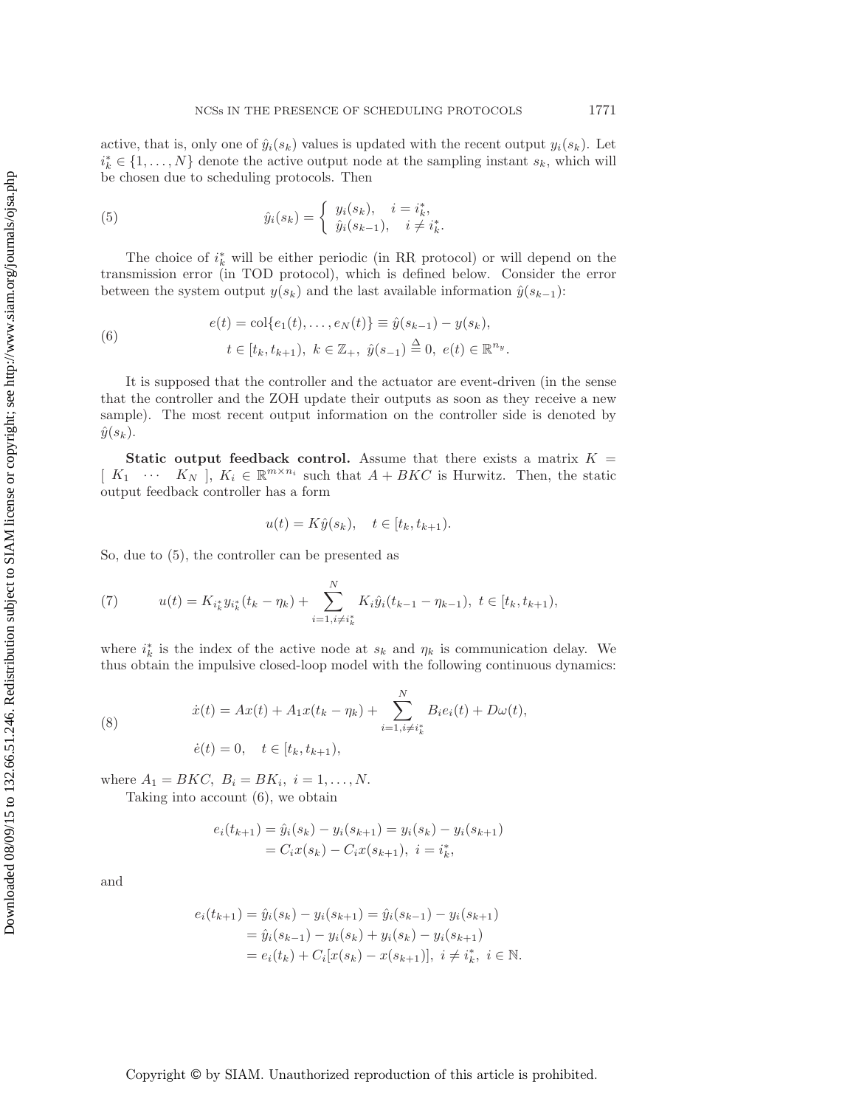active, that is, only one of  $\hat{y}_i(s_k)$  values is updated with the recent output  $y_i(s_k)$ . Let  $i_k^* \in \{1, \ldots, N\}$  denote the active output node at the sampling instant  $s_k$ , which will be chosen due to scheduling protocols. Then

<span id="page-3-0"></span>(5) 
$$
\hat{y}_i(s_k) = \begin{cases} y_i(s_k), & i = i_k^*, \\ \hat{y}_i(s_{k-1}), & i \neq i_k^*. \end{cases}
$$

The choice of  $i_k^*$  will be either periodic (in RR protocol) or will depend on the transmission error (in TOD protocol), which is defined below. Consider the error between the system output  $y(s_k)$  and the last available information  $\hat{y}(s_{k-1})$ :

(6) 
$$
e(t) = \text{col}\{e_1(t), \dots, e_N(t)\} \equiv \hat{y}(s_{k-1}) - y(s_k),
$$

$$
t \in [t_k, t_{k+1}), \ k \in \mathbb{Z}_+, \ \hat{y}(s_{-1}) \stackrel{\Delta}{=} 0, \ e(t) \in \mathbb{R}^{n_y}.
$$

It is supposed that the controller and the actuator are event-driven (in the sense that the controller and the ZOH update their outputs as soon as they receive a new sample). The most recent output information on the controller side is denoted by  $\hat{y}(s_k)$ .

**Static output feedback control.** Assume that there exists a matrix  $K =$  $[K_1 \cdots K_N], K_i \in \mathbb{R}^{m \times n_i}$  such that  $A + BKC$  is Hurwitz. Then, the static output feedback controller has a form

<span id="page-3-2"></span><span id="page-3-1"></span>
$$
u(t) = K\hat{y}(s_k), \quad t \in [t_k, t_{k+1}).
$$

So, due to [\(5\)](#page-3-0), the controller can be presented as

(7) 
$$
u(t) = K_{i_k^*} y_{i_k^*} (t_k - \eta_k) + \sum_{i=1, i \neq i_k^*}^N K_i \hat{y}_i (t_{k-1} - \eta_{k-1}), \ t \in [t_k, t_{k+1}),
$$

where  $i_k^*$  is the index of the active node at  $s_k$  and  $\eta_k$  is communication delay. We thus obtain the impulsive closed-loop model with the following continuous dynamics:

(8) 
$$
\dot{x}(t) = Ax(t) + A_1 x(t_k - \eta_k) + \sum_{i=1, i \neq i_k^*}^{N} B_i e_i(t) + D\omega(t),
$$

$$
\dot{e}(t) = 0, \quad t \in [t_k, t_{k+1}),
$$

where  $A_1 = BKC$ ,  $B_i = BK_i$ ,  $i = 1, ..., N$ .

Taking into account [\(6\)](#page-3-1), we obtain

$$
e_i(t_{k+1}) = \hat{y}_i(s_k) - y_i(s_{k+1}) = y_i(s_k) - y_i(s_{k+1})
$$
  
=  $C_i x(s_k) - C_i x(s_{k+1}), i = i_k^*,$ 

and

$$
e_i(t_{k+1}) = \hat{y}_i(s_k) - y_i(s_{k+1}) = \hat{y}_i(s_{k-1}) - y_i(s_{k+1})
$$
  
=  $\hat{y}_i(s_{k-1}) - y_i(s_k) + y_i(s_k) - y_i(s_{k+1})$   
=  $e_i(t_k) + C_i[x(s_k) - x(s_{k+1})], i \neq i_k^*, i \in \mathbb{N}.$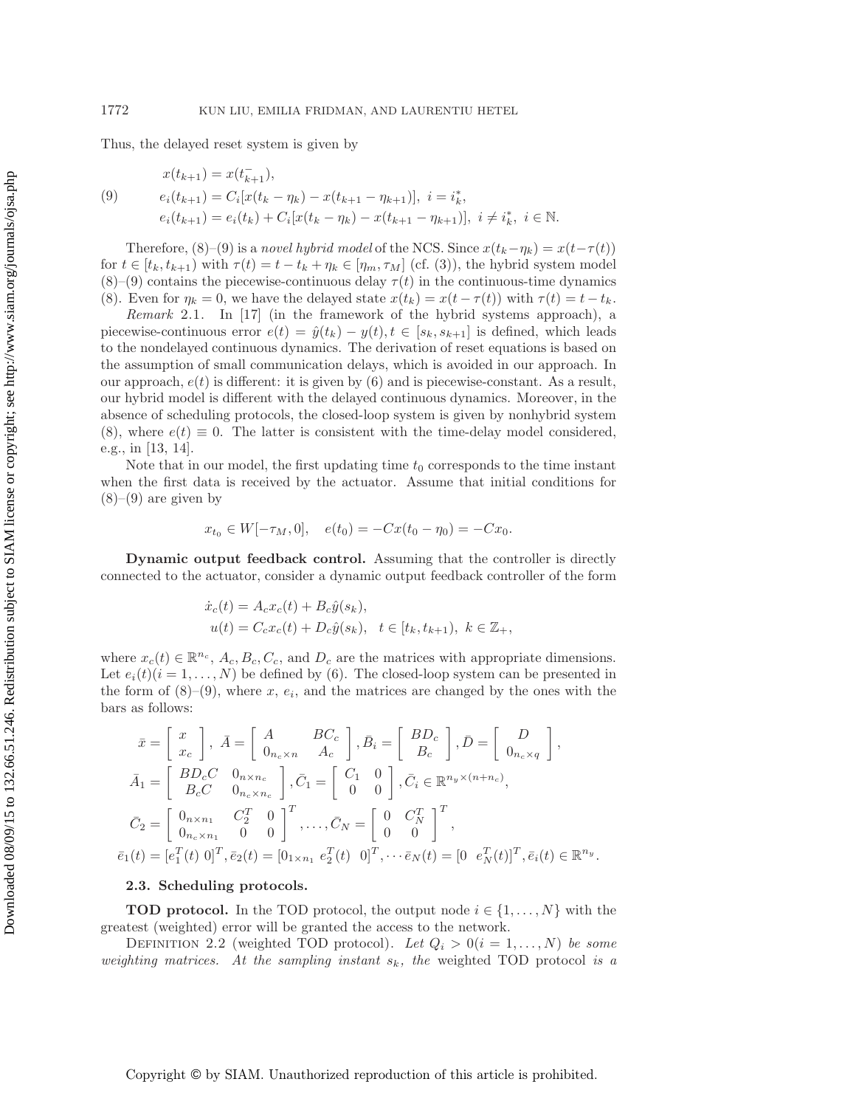<span id="page-4-0"></span>Thus, the delayed reset system is given by

(9) 
$$
x(t_{k+1}) = x(t_{k+1}^{-}),
$$

$$
e_i(t_{k+1}) = C_i[x(t_k - \eta_k) - x(t_{k+1} - \eta_{k+1})], i = i_k^*,
$$

$$
e_i(t_{k+1}) = e_i(t_k) + C_i[x(t_k - \eta_k) - x(t_{k+1} - \eta_{k+1})], i \neq i_k^*, i \in \mathbb{N}.
$$

Therefore,  $(8)–(9)$  $(8)–(9)$  $(8)–(9)$  is a *novel hybrid model* of the NCS. Since  $x(t_k-\eta_k) = x(t-\tau(t))$ for  $t \in [t_k, t_{k+1})$  with  $\tau(t) = t - t_k + \eta_k \in [\eta_m, \tau_M]$  (cf. [\(3\)](#page-2-0)), the hybrid system model [\(8\)](#page-3-2)–[\(9\)](#page-4-0) contains the piecewise-continuous delay  $\tau(t)$  in the continuous-time dynamics [\(8\)](#page-3-2). Even for  $\eta_k = 0$ , we have the delayed state  $x(t_k) = x(t - \tau(t))$  with  $\tau(t) = t - t_k$ .

*Remark* 2.1. In [\[17\]](#page-20-9) (in the framework of the hybrid systems approach), a piecewise-continuous error  $e(t) = \hat{y}(t_k) - y(t), t \in [s_k, s_{k+1}]$  is defined, which leads to the nondelayed continuous dynamics. The derivation of reset equations is based on the assumption of small communication delays, which is avoided in our approach. In our approach,  $e(t)$  is different: it is given by [\(6\)](#page-3-1) and is piecewise-constant. As a result, our hybrid model is different with the delayed continuous dynamics. Moreover, in the absence of scheduling protocols, the closed-loop system is given by nonhybrid system [\(8\)](#page-3-2), where  $e(t) \equiv 0$ . The latter is consistent with the time-delay model considered, e.g., in [\[13,](#page-20-6) [14\]](#page-20-7).

Note that in our model, the first updating time  $t_0$  corresponds to the time instant when the first data is received by the actuator. Assume that initial conditions for  $(8)-(9)$  $(8)-(9)$  $(8)-(9)$  are given by

$$
x_{t_0} \in W[-\tau_M, 0], \quad e(t_0) = -Cx(t_0 - \eta_0) = -Cx_0.
$$

**Dynamic output feedback control.** Assuming that the controller is directly connected to the actuator, consider a dynamic output feedback controller of the form

$$
\dot{x}_c(t) = A_c x_c(t) + B_c \hat{y}(s_k), \nu(t) = C_c x_c(t) + D_c \hat{y}(s_k), \quad t \in [t_k, t_{k+1}), \ k \in \mathbb{Z}_+,
$$

where  $x_c(t) \in \mathbb{R}^{n_c}$ ,  $A_c, B_c, C_c$ , and  $D_c$  are the matrices with appropriate dimensions. Let  $e_i(t)(i = 1, \ldots, N)$  be defined by [\(6\)](#page-3-1). The closed-loop system can be presented in the form of  $(8)-(9)$  $(8)-(9)$  $(8)-(9)$ , where x,  $e_i$ , and the matrices are changed by the ones with the bars as follows:

$$
\bar{x} = \begin{bmatrix} x \\ x_c \end{bmatrix}, \ \bar{A} = \begin{bmatrix} A & BC_c \\ 0_{n_c \times n} & A_c \end{bmatrix}, \ \bar{B}_i = \begin{bmatrix} BD_c \\ B_c \end{bmatrix}, \ \bar{D} = \begin{bmatrix} D \\ 0_{n_c \times q} \end{bmatrix},
$$
\n
$$
\bar{A}_1 = \begin{bmatrix} BD_cC & 0_{n \times n_c} \\ B_cC & 0_{n_c \times n_c} \end{bmatrix}, \ \bar{C}_1 = \begin{bmatrix} C_1 & 0 \\ 0 & 0 \end{bmatrix}, \ \bar{C}_i \in \mathbb{R}^{n_y \times (n+n_c)},
$$
\n
$$
\bar{C}_2 = \begin{bmatrix} 0_{n \times n_1} & C_2^T & 0 \\ 0_{n_c \times n_1} & 0 & 0 \end{bmatrix}^T, \dots, \bar{C}_N = \begin{bmatrix} 0 & C_N^T \\ 0 & 0 \end{bmatrix}^T,
$$
\n
$$
\bar{e}_1(t) = [e_1^T(t) \ 0]^T, \ \bar{e}_2(t) = [0_{1 \times n_1} \ e_2^T(t) \ 0]^T, \dots \bar{e}_N(t) = [0 \ e_N^T(t)]^T, \ \bar{e}_i(t) \in \mathbb{R}^{n_y}.
$$

## **2.3. Scheduling protocols.**

**TOD protocol.** In the TOD protocol, the output node  $i \in \{1, ..., N\}$  with the greatest (weighted) error will be granted the access to the network.

DEFINITION 2.2 (weighted TOD protocol). Let  $Q_i > 0 (i = 1, ..., N)$  be some *weighting matrices. At the sampling instant* sk*, the* weighted TOD protocol *is a*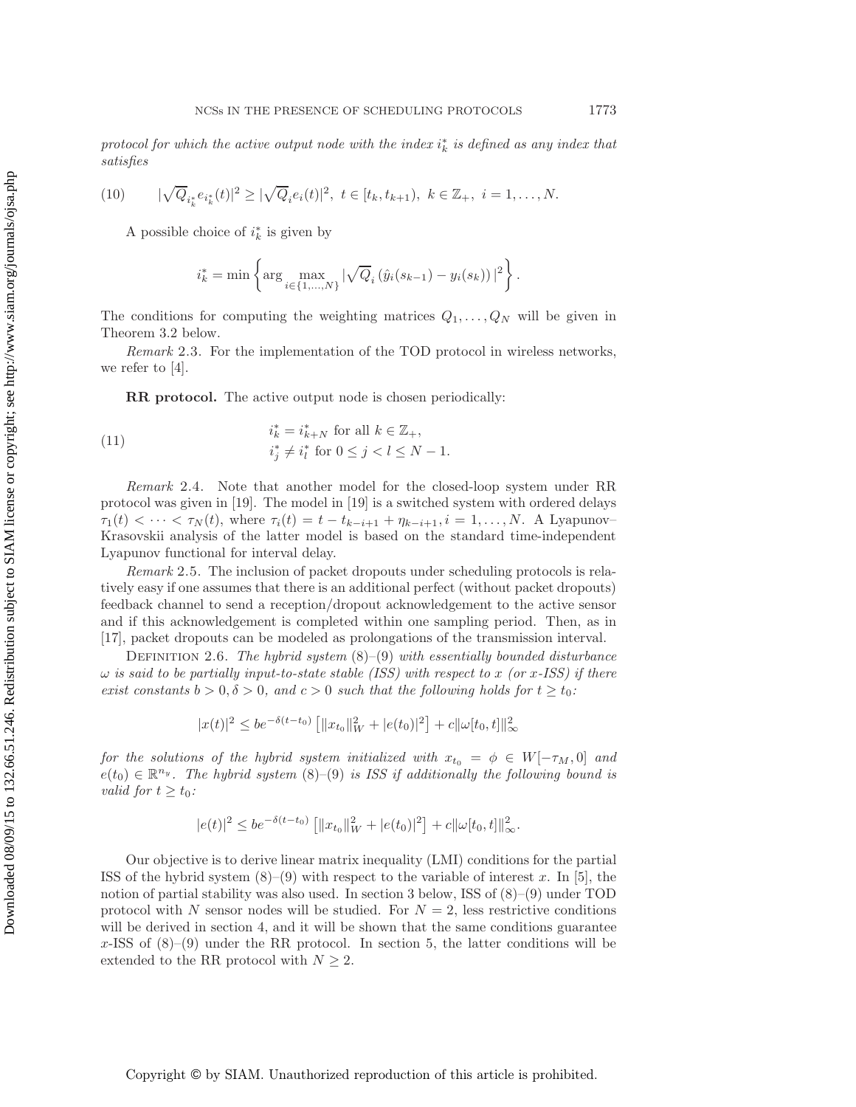<span id="page-5-0"></span> $\mathit{protocol}$  for which the active output node with the index  $i_k^*$  is defined as any index that *satisfies*

(10) 
$$
|\sqrt{Q}_{i_k^*}e_{i_k^*}(t)|^2 \ge |\sqrt{Q}_i e_i(t)|^2, \ t \in [t_k, t_{k+1}), \ k \in \mathbb{Z}_+, \ i = 1, \ldots, N.
$$

A possible choice of  $i_k^*$  is given by

<span id="page-5-1"></span>
$$
i_k^* = \min \left\{ \arg \max_{i \in \{1, ..., N\}} |\sqrt{Q}_i(\hat{y}_i(s_{k-1}) - y_i(s_k))|^2 \right\}.
$$

The conditions for computing the weighting matrices  $Q_1, \ldots, Q_N$  will be given in Theorem [3.2](#page-9-0) below.

*Remark* 2.3. For the implementation of the TOD protocol in wireless networks, we refer to [\[4\]](#page-20-16).

**RR protocol.** The active output node is chosen periodically:

(11) 
$$
i_k^* = i_{k+N}^* \text{ for all } k \in \mathbb{Z}_+,
$$

$$
i_j^* \neq i_l^* \text{ for } 0 \leq j < l \leq N-1.
$$

*Remark* 2.4. Note that another model for the closed-loop system under RR protocol was given in [\[19\]](#page-20-12). The model in [\[19\]](#page-20-12) is a switched system with ordered delays  $\tau_1(t) < \cdots < \tau_N(t)$ , where  $\tau_i(t) = t - t_{k-i+1} + \eta_{k-i+1}, i = 1, \ldots, N$ . A Lyapunov-Krasovskii analysis of the latter model is based on the standard time-independent Lyapunov functional for interval delay.

*Remark* 2.5. The inclusion of packet dropouts under scheduling protocols is relatively easy if one assumes that there is an additional perfect (without packet dropouts) feedback channel to send a reception/dropout acknowledgement to the active sensor and if this acknowledgement is completed within one sampling period. Then, as in [\[17\]](#page-20-9), packet dropouts can be modeled as prolongations of the transmission interval.

Definition 2.6. *The hybrid system* [\(8\)](#page-3-2)–[\(9\)](#page-4-0) *with essentially bounded disturbance*  $\omega$  *is said to be partially input-to-state stable (ISS) with respect to* x *(or* x-ISS) *if there exist constants*  $b > 0$ ,  $\delta > 0$ , and  $c > 0$  *such that the following holds for*  $t \ge t_0$ *:* 

$$
|x(t)|^2 \le be^{-\delta(t-t_0)} \left[ ||x_{t_0}||_W^2 + |e(t_0)|^2 \right] + c||\omega[t_0, t]||_{\infty}^2
$$

*for the solutions of the hybrid system initialized with*  $x_{t_0} = \phi \in W[-\tau_M, 0]$  *and*  $e(t_0) \in \mathbb{R}^{n_y}$ . The hybrid system [\(8\)](#page-3-2)–[\(9\)](#page-4-0) is ISS if additionally the following bound is *valid for*  $t \geq t_0$ *:* 

$$
|e(t)|^2 \le be^{-\delta(t-t_0)} \left[ ||x_{t_0}||_W^2 + |e(t_0)|^2 \right] + c||\omega[t_0, t]||_{\infty}^2.
$$

Our objective is to derive linear matrix inequality (LMI) conditions for the partial ISS of the hybrid system  $(8)$ – $(9)$  with respect to the variable of interest x. In [\[5\]](#page-20-17), the notion of partial stability was also used. In section [3](#page-6-0) below, ISS of [\(8\)](#page-3-2)–[\(9\)](#page-4-0) under TOD protocol with N sensor nodes will be studied. For  $N = 2$ , less restrictive conditions will be derived in section [4,](#page-10-0) and it will be shown that the same conditions guarantee  $x$ -ISS of  $(8)-(9)$  $(8)-(9)$  $(8)-(9)$  under the RR protocol. In section [5,](#page-11-0) the latter conditions will be extended to the RR protocol with  $N \geq 2$ .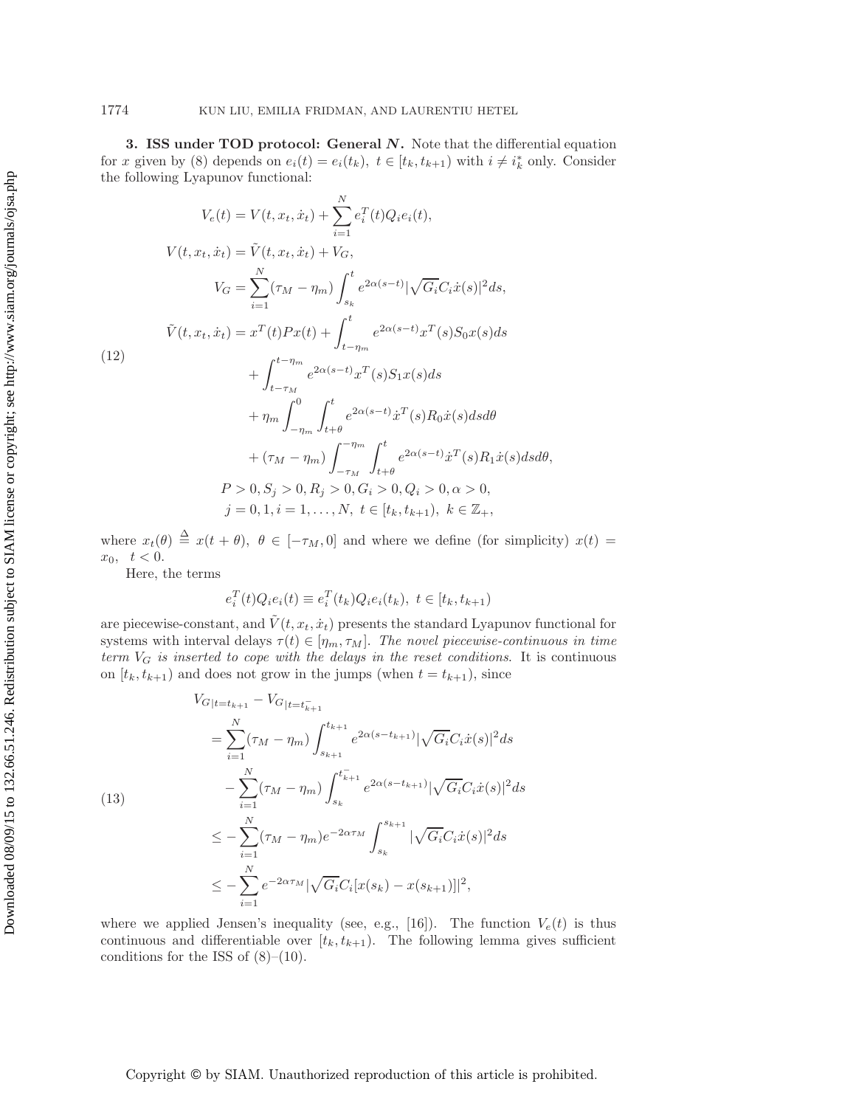<span id="page-6-0"></span>**3. ISS under TOD protocol: General** *N***.** Note that the differential equation for x given by [\(8\)](#page-3-2) depends on  $e_i(t) = e_i(t_k)$ ,  $t \in [t_k, t_{k+1})$  with  $i \neq i_k^*$  only. Consider the following Lyapunov functional:

<span id="page-6-1"></span>
$$
V_e(t) = V(t, x_t, \dot{x}_t) + \sum_{i=1}^{N} e_i^T(t) Q_i e_i(t),
$$
  
\n
$$
V(t, x_t, \dot{x}_t) = \tilde{V}(t, x_t, \dot{x}_t) + V_G,
$$
  
\n
$$
V_G = \sum_{i=1}^{N} (\tau_M - \eta_m) \int_{s_k}^{t} e^{2\alpha(s-t)} |\sqrt{G_i} C_i \dot{x}(s)|^2 ds,
$$
  
\n
$$
\tilde{V}(t, x_t, \dot{x}_t) = x^T(t) P x(t) + \int_{t-\eta_m}^{t} e^{2\alpha(s-t)} x^T(s) S_0 x(s) ds
$$
  
\n(12)  
\n
$$
+ \int_{t-\tau_M}^{t-\eta_m} e^{2\alpha(s-t)} x^T(s) S_1 x(s) ds
$$
  
\n
$$
+ \eta_m \int_{-\eta_m}^{0} \int_{t+\theta}^{t} e^{2\alpha(s-t)} \dot{x}^T(s) R_0 \dot{x}(s) ds d\theta
$$
  
\n
$$
+ (\tau_M - \eta_m) \int_{-\tau_M}^{-\eta_m} \int_{t+\theta}^{t} e^{2\alpha(s-t)} \dot{x}^T(s) R_1 \dot{x}(s) ds d\theta,
$$
  
\n
$$
P > 0, S_j > 0, R_j > 0, G_i > 0, Q_i > 0, \alpha > 0,
$$
  
\n
$$
j = 0, 1, i = 1, ..., N, t \in [t_k, t_{k+1}), k \in \mathbb{Z}_+,
$$

where  $x_t(\theta) \triangleq x(t + \theta)$ ,  $\theta \in [-\tau_M, 0]$  and where we define (for simplicity)  $x(t) =$  $x_0, \t t < 0.$ 

Here, the terms

<span id="page-6-2"></span>
$$
e_i^T(t)Q_i e_i(t) \equiv e_i^T(t_k)Q_i e_i(t_k), \ t \in [t_k, t_{k+1})
$$

are piecewise-constant, and  $\tilde{V}(t, x_t, \dot{x}_t)$  presents the standard Lyapunov functional for systems with interval delays  $\tau(t) \in [\eta_m, \tau_M]$ . The novel piecewise-continuous in time *term*  $V_G$  *is inserted to cope with the delays in the reset conditions.* It is continuous on  $[t_k, t_{k+1})$  and does not grow in the jumps (when  $t = t_{k+1}$ ), since

$$
V_{G|t=t_{k+1}} - V_{G|t=t_{k+1}}= \sum_{i=1}^{N} (\tau_M - \eta_m) \int_{s_{k+1}}^{t_{k+1}} e^{2\alpha(s-t_{k+1})} |\sqrt{G_i} C_i \dot{x}(s)|^2 ds - \sum_{i=1}^{N} (\tau_M - \eta_m) \int_{s_k}^{t_{k+1}^-} e^{2\alpha(s-t_{k+1})} |\sqrt{G_i} C_i \dot{x}(s)|^2 ds \leq - \sum_{i=1}^{N} (\tau_M - \eta_m) e^{-2\alpha \tau_M} \int_{s_k}^{s_{k+1}} |\sqrt{G_i} C_i \dot{x}(s)|^2 ds \leq - \sum_{i=1}^{N} e^{-2\alpha \tau_M} |\sqrt{G_i} C_i [x(s_k) - x(s_{k+1})]|^2,
$$

where we applied Jensen's inequality (see, e.g., [\[16\]](#page-20-18)). The function  $V_e(t)$  is thus continuous and differentiable over  $[t_k, t_{k+1})$ . The following lemma gives sufficient conditions for the ISS of  $(8)-(10)$  $(8)-(10)$  $(8)-(10)$ .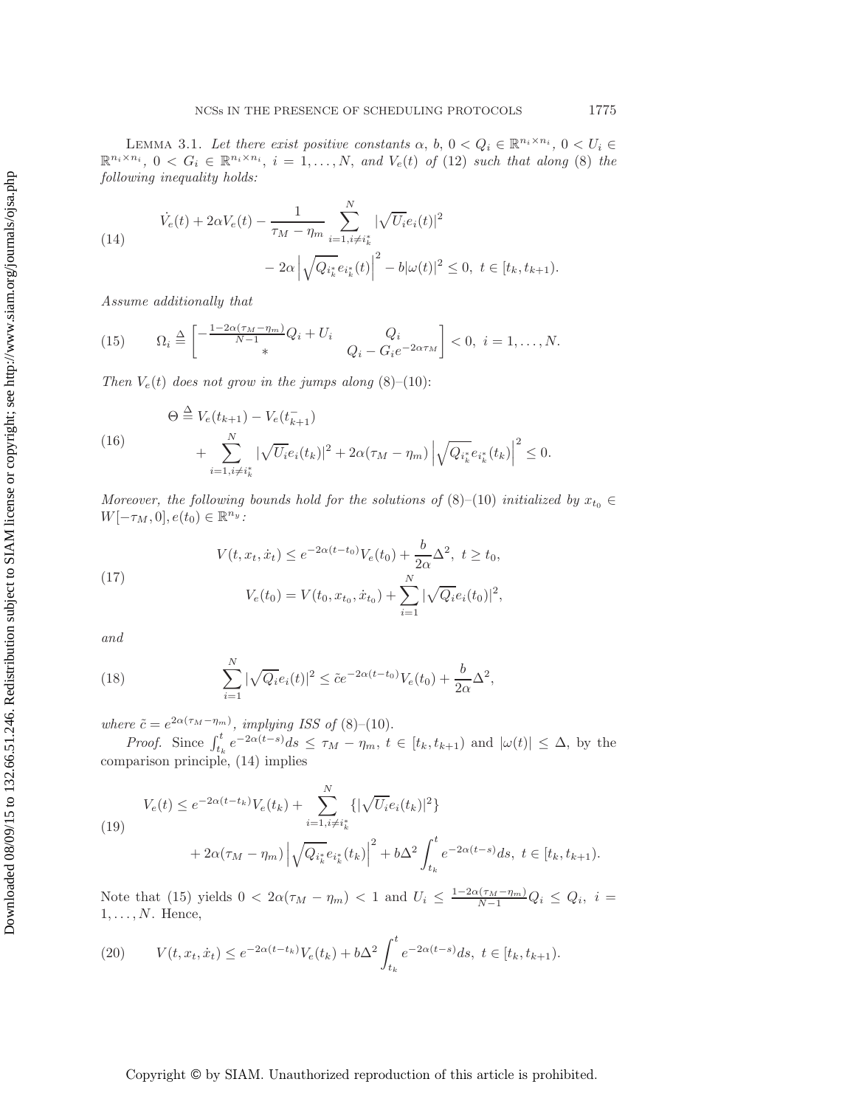<span id="page-7-7"></span>LEMMA 3.1. Let there exist positive constants  $\alpha$ ,  $b$ ,  $0 < Q_i \in \mathbb{R}^{n_i \times n_i}$ ,  $0 < U_i \in$  $\mathbb{R}^{n_i \times n_i}$ ,  $0 \leq G_i \in \mathbb{R}^{n_i \times n_i}$ ,  $i = 1, \ldots, N$ , and  $V_e(t)$  of [\(12\)](#page-6-1) such that along [\(8\)](#page-3-2) the *following inequality holds:*

<span id="page-7-0"></span>(14)  

$$
\dot{V}_e(t) + 2\alpha V_e(t) - \frac{1}{\tau_M - \eta_m} \sum_{i=1, i \neq i_k^*}^N |\sqrt{U_i} e_i(t)|^2
$$

$$
- 2\alpha \left| \sqrt{Q_{i_k^*} e_{i_k^*}(t)} \right|^2 - b|\omega(t)|^2 \le 0, \ t \in [t_k, t_{k+1}).
$$

<span id="page-7-1"></span>*Assume additionally that*

(15) 
$$
\Omega_i \stackrel{\Delta}{=} \begin{bmatrix} -\frac{1-2\alpha(\tau_M - \eta_m)}{N-1} Q_i + U_i & Q_i \\ * & Q_i - G_i e^{-2\alpha \tau_M} \end{bmatrix} < 0, \ i = 1, ..., N.
$$

*Then*  $V_e(t)$  *does not grow in the jumps along* [\(8\)](#page-3-2)–[\(10\)](#page-5-0):

(16)  
\n
$$
\Theta \stackrel{\Delta}{=} V_e(t_{k+1}) - V_e(t_{k+1}) + \sum_{i=1, i \neq i_k^*}^N |\sqrt{U_i} e_i(t_k)|^2 + 2\alpha (\tau_M - \eta_m) |\sqrt{Q_{i_k^*}} e_{i_k^*}(t_k)|^2 \leq 0.
$$

*Moreover, the following bounds hold for the solutions of*  $(8)–(10)$  $(8)–(10)$  $(8)–(10)$  *initialized by*  $x_{t_0} \in$  $W[-\tau_M, 0], e(t_0) \in \mathbb{R}^{n_y}$ :

(17) 
$$
V(t, x_t, \dot{x}_t) \le e^{-2\alpha(t - t_0)} V_e(t_0) + \frac{b}{2\alpha} \Delta^2, \ t \ge t_0,
$$

$$
V_e(t_0) = V(t_0, x_{t_0}, \dot{x}_{t_0}) + \sum_{i=1}^N |\sqrt{Q_i} e_i(t_0)|^2,
$$

<span id="page-7-6"></span>*and*

(18) 
$$
\sum_{i=1}^{N} |\sqrt{Q_i} e_i(t)|^2 \leq \tilde{c} e^{-2\alpha(t-t_0)} V_e(t_0) + \frac{b}{2\alpha} \Delta^2,
$$

*where*  $\tilde{c} = e^{2\alpha(\tau_M - \eta_m)}$ *, implying ISS of* [\(8\)](#page-3-2)–[\(10\)](#page-5-0).

<span id="page-7-5"></span><span id="page-7-3"></span>N

*Proof.* Since  $\int_{t_k}^t e^{-2\alpha(t-s)}ds \leq \tau_M - \eta_m$ ,  $t \in [t_k, t_{k+1})$  and  $|\omega(t)| \leq \Delta$ , by the comparison principle, [\(14\)](#page-7-0) implies

(19)  

$$
V_e(t) \le e^{-2\alpha(t-t_k)} V_e(t_k) + \sum_{i=1, i \ne i_k^*}^N \{ |\sqrt{U_i} e_i(t_k)|^2 \}
$$

$$
+ 2\alpha(\tau_M - \eta_m) |\sqrt{Q_{i_k^*} e_{i_k^*}(t_k)}|^2 + b\Delta^2 \int_{t_k}^t e^{-2\alpha(t-s)} ds, \ t \in [t_k, t_{k+1}).
$$

Note that [\(15\)](#page-7-1) yields  $0 < 2\alpha(\tau_M - \eta_m) < 1$  and  $U_i \leq \frac{1-2\alpha(\tau_M - \eta_m)}{N-1}Q_i \leq Q_i$ ,  $i =$  $1, \ldots, N$ . Hence,

<span id="page-7-4"></span>(20) 
$$
V(t, x_t, \dot{x}_t) \le e^{-2\alpha(t - t_k)} V_e(t_k) + b\Delta^2 \int_{t_k}^t e^{-2\alpha(t - s)} ds, \ t \in [t_k, t_{k+1}).
$$

<span id="page-7-2"></span>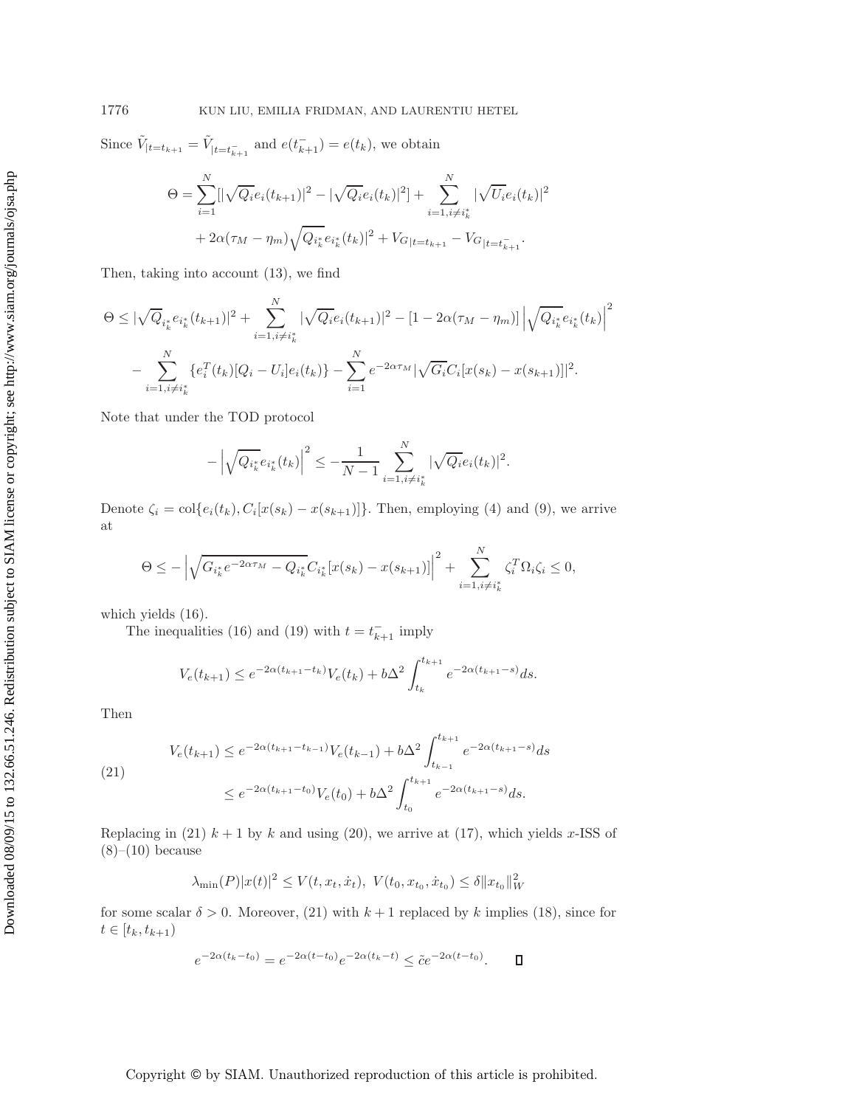Since  $\tilde{V}_{|t=t_{k+1}} = \tilde{V}_{|t=t_{k+1}^-}$  and  $e(t_{k+1}^-) = e(t_k)$ , we obtain

$$
\Theta = \sum_{i=1}^{N} [|\sqrt{Q_i}e_i(t_{k+1})|^2 - |\sqrt{Q_i}e_i(t_k)|^2] + \sum_{i=1, i \neq i_k^*}^{N} |\sqrt{U_i}e_i(t_k)|^2
$$
  
+  $2\alpha(\tau_M - \eta_m)\sqrt{Q_{i_k^*}e_{i_k^*}(t_k)}|^2 + V_{G|t=t_{k+1}} - V_{G|t=t_{k+1}^-}.$ 

Then, taking into account [\(13\)](#page-6-2), we find

$$
\Theta \leq |\sqrt{Q}_{i_k^*} e_{i_k^*}(t_{k+1})|^2 + \sum_{i=1, i \neq i_k^*}^N |\sqrt{Q_i} e_i(t_{k+1})|^2 - [1 - 2\alpha(\tau_M - \eta_m)] |\sqrt{Q_{i_k^*} e_{i_k^*}(t_k)}|^2
$$

$$
- \sum_{i=1, i \neq i_k^*}^N \{e_i^T(t_k)[Q_i - U_i] e_i(t_k)\} - \sum_{i=1}^N e^{-2\alpha \tau_M} |\sqrt{G_i} C_i[x(s_k) - x(s_{k+1})]|^2.
$$

Note that under the TOD protocol

$$
-\left|\sqrt{Q_{i_k^*}}e_{i_k^*}(t_k)\right|^2 \leq -\frac{1}{N-1}\sum_{i=1, i\neq i_k^*}^N|\sqrt{Q_i}e_i(t_k)|^2.
$$

Denote  $\zeta_i = \text{col}\lbrace e_i(t_k), C_i[x(s_k) - x(s_{k+1})]\rbrace$ . Then, employing [\(4\)](#page-2-1) and [\(9\)](#page-4-0), we arrive at

$$
\Theta \leq -\left|\sqrt{G_{i_k^*}e^{-2\alpha\tau_M} - Q_{i_k^*}C_{i_k^*}[x(s_k) - x(s_{k+1})]}\right|^2 + \sum_{i=1, i \neq i_k^*}^N \zeta_i^T \Omega_i \zeta_i \leq 0,
$$

which yields [\(16\)](#page-7-2).

The inequalities [\(16\)](#page-7-2) and [\(19\)](#page-7-3) with  $t = t_{k+1}^-$  imply

$$
V_e(t_{k+1}) \le e^{-2\alpha(t_{k+1}-t_k)} V_e(t_k) + b\Delta^2 \int_{t_k}^{t_{k+1}} e^{-2\alpha(t_{k+1}-s)} ds.
$$

<span id="page-8-0"></span>Then

$$
(21) \qquad V_e(t_{k+1}) \le e^{-2\alpha(t_{k+1}-t_{k-1})} V_e(t_{k-1}) + b\Delta^2 \int_{t_{k-1}}^{t_{k+1}} e^{-2\alpha(t_{k+1}-s)} ds
$$

$$
\le e^{-2\alpha(t_{k+1}-t_0)} V_e(t_0) + b\Delta^2 \int_{t_0}^{t_{k+1}} e^{-2\alpha(t_{k+1}-s)} ds.
$$

Replacing in [\(21\)](#page-8-0)  $k + 1$  by k and using [\(20\)](#page-7-4), we arrive at [\(17\)](#page-7-5), which yields x-ISS of  $(8)–(10)$  $(8)–(10)$  $(8)–(10)$  because

$$
\lambda_{\min}(P)|x(t)|^2 \le V(t, x_t, \dot{x}_t), \ V(t_0, x_{t_0}, \dot{x}_{t_0}) \le \delta ||x_{t_0}||_W^2
$$

for some scalar  $\delta > 0$ . Moreover, [\(21\)](#page-8-0) with  $k + 1$  replaced by k implies [\(18\)](#page-7-6), since for  $t \in [t_k, t_{k+1})$ 

$$
e^{-2\alpha(t_k - t_0)} = e^{-2\alpha(t - t_0)}e^{-2\alpha(t_k - t)} \le \tilde{c}e^{-2\alpha(t - t_0)}.
$$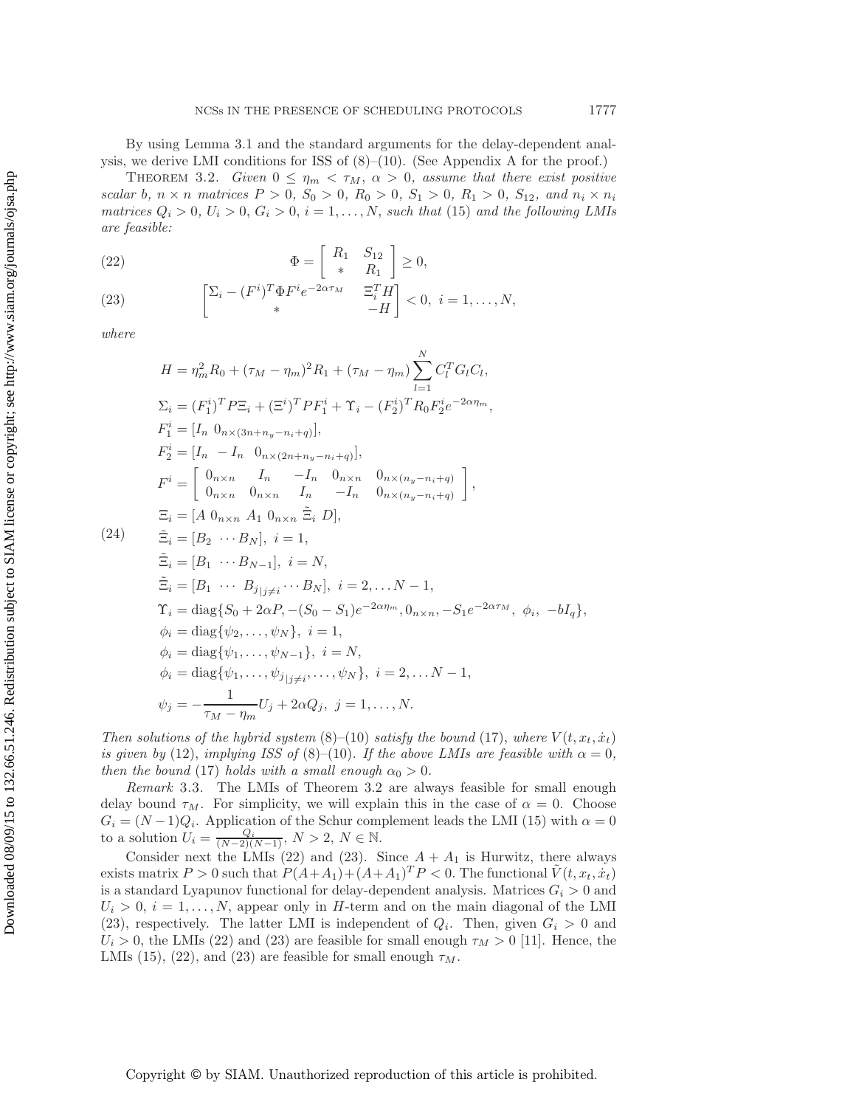<span id="page-9-0"></span>By using Lemma [3.1](#page-7-7) and the standard arguments for the delay-dependent analysis, we derive LMI conditions for ISS of  $(8)-(10)$  $(8)-(10)$  $(8)-(10)$ . (See [A](#page-17-0)ppendix A for the proof.)

THEOREM 3.2. *Given*  $0 \leq \eta_m < \tau_M$ ,  $\alpha > 0$ , assume that there exist positive *scalar* b,  $n \times n$  *matrices*  $P > 0$ ,  $S_0 > 0$ ,  $R_0 > 0$ ,  $S_1 > 0$ ,  $R_1 > 0$ ,  $S_{12}$ , and  $n_i \times n_i$ *matrices*  $Q_i > 0$ ,  $U_i > 0$ ,  $G_i > 0$ ,  $i = 1, \ldots, N$ , *such that* [\(15\)](#page-7-1) *and the following LMIs are feasible:*

<span id="page-9-1"></span>(22) 
$$
\Phi = \begin{bmatrix} R_1 & S_{12} \\ * & R_1 \end{bmatrix} \geq 0,
$$

<span id="page-9-2"></span>(23) 
$$
\begin{bmatrix} \sum_i -(F^i)^T \Phi F^i e^{-2\alpha \tau_M} & \Xi_i^T H \\ * & -H \end{bmatrix} < 0, \ i = 1, \dots, N,
$$

*where*

$$
H = \eta_m^2 R_0 + (\tau_M - \eta_m)^2 R_1 + (\tau_M - \eta_m) \sum_{l=1}^N C_l^T G_l C_l,
$$
  
\n
$$
\Sigma_i = (F_1^i)^T P \Xi_i + (\Xi^i)^T P F_1^i + \Upsilon_i - (F_2^i)^T R_0 F_2^i e^{-2\alpha \eta_m},
$$
  
\n
$$
F_1^i = [I_n 0_{n \times (3n + n_y - n_i + q)}],
$$
  
\n
$$
F_2^i = [I_n - I_n 0_{n \times (2n + n_y - n_i + q)}],
$$
  
\n
$$
F^i = \begin{bmatrix} 0_{n \times n} & I_n & -I_n & 0_{n \times n} & 0_{n \times (n_y - n_i + q)} \\ 0_{n \times n} & 0_{n \times n} & I_n & -I_n & 0_{n \times (n_y - n_i + q)} \end{bmatrix},
$$
  
\n
$$
\Xi_i = [A 0_{n \times n} A_1 0_{n \times n} \tilde{\Xi}_i D],
$$
  
\n(24) 
$$
\tilde{\Xi}_i = [B_2 \cdots B_N], \quad i = 1,
$$
  
\n
$$
\tilde{\Xi}_i = [B_1 \cdots B_{j_{\lfloor j \neq i \rfloor}} \cdots B_N], \quad i = 2, \ldots N - 1,
$$
  
\n
$$
\Upsilon_i = \text{diag}\{S_0 + 2\alpha P, -(S_0 - S_1)e^{-2\alpha \eta_m}, 0_{n \times n}, -S_1e^{-2\alpha \tau_M}, \phi_i, -bI_q\},
$$
  
\n
$$
\phi_i = \text{diag}\{\psi_2, \ldots, \psi_N\}, \quad i = 1,
$$
  
\n
$$
\phi_i = \text{diag}\{\psi_1, \ldots, \psi_{N-1}\}, \quad i = N,
$$
  
\n
$$
\phi_i = \text{diag}\{\psi_1, \ldots, \psi_{N-j}\}, \quad i = 2, \ldots N - 1,
$$
  
\n
$$
\psi_j = -\frac{1}{\tau_M - \eta_m} U_j + 2\alpha Q_j, \quad j = 1, \ldots, N.
$$

*Then solutions of the hybrid system*  $(8)$ – $(10)$  *satisfy the bound*  $(17)$ *, where*  $V(t, x_t, \dot{x}_t)$ *is given by* [\(12\)](#page-6-1), *implying ISS of* [\(8\)](#page-3-2)–[\(10\)](#page-5-0). *If the above LMIs are feasible with*  $\alpha = 0$ , *then the bound* [\(17\)](#page-7-5) *holds with a small enough*  $\alpha_0 > 0$ *.* 

*Remark* 3.3. The LMIs of Theorem [3.2](#page-9-0) are always feasible for small enough delay bound  $\tau_M$ . For simplicity, we will explain this in the case of  $\alpha = 0$ . Choose  $G_i = (N-1)Q_i$ . Application of the Schur complement leads the LMI [\(15\)](#page-7-1) with  $\alpha = 0$ to a solution  $U_i = \frac{Q_i}{(N-2)(N-1)}$ ,  $N > 2$ ,  $N \in \mathbb{N}$ .

Consider next the LMIs [\(22\)](#page-9-1) and [\(23\)](#page-9-2). Since  $A + A_1$  is Hurwitz, there always exists matrix  $P > 0$  such that  $P(A+A_1)+(A+A_1)^T P < 0$ . The functional  $\tilde{V}(t, x_t, \dot{x}_t)$ is a standard Lyapunov functional for delay-dependent analysis. Matrices  $G_i > 0$  and  $U_i > 0, i = 1, \ldots, N$ , appear only in H-term and on the main diagonal of the LMI [\(23\)](#page-9-2), respectively. The latter LMI is independent of  $Q_i$ . Then, given  $G_i > 0$  and  $U_i > 0$ , the LMIs [\(22\)](#page-9-1) and [\(23\)](#page-9-2) are feasible for small enough  $\tau_M > 0$  [\[11\]](#page-20-19). Hence, the LMIs [\(15\)](#page-7-1), [\(22\)](#page-9-1), and [\(23\)](#page-9-2) are feasible for small enough  $\tau_M$ .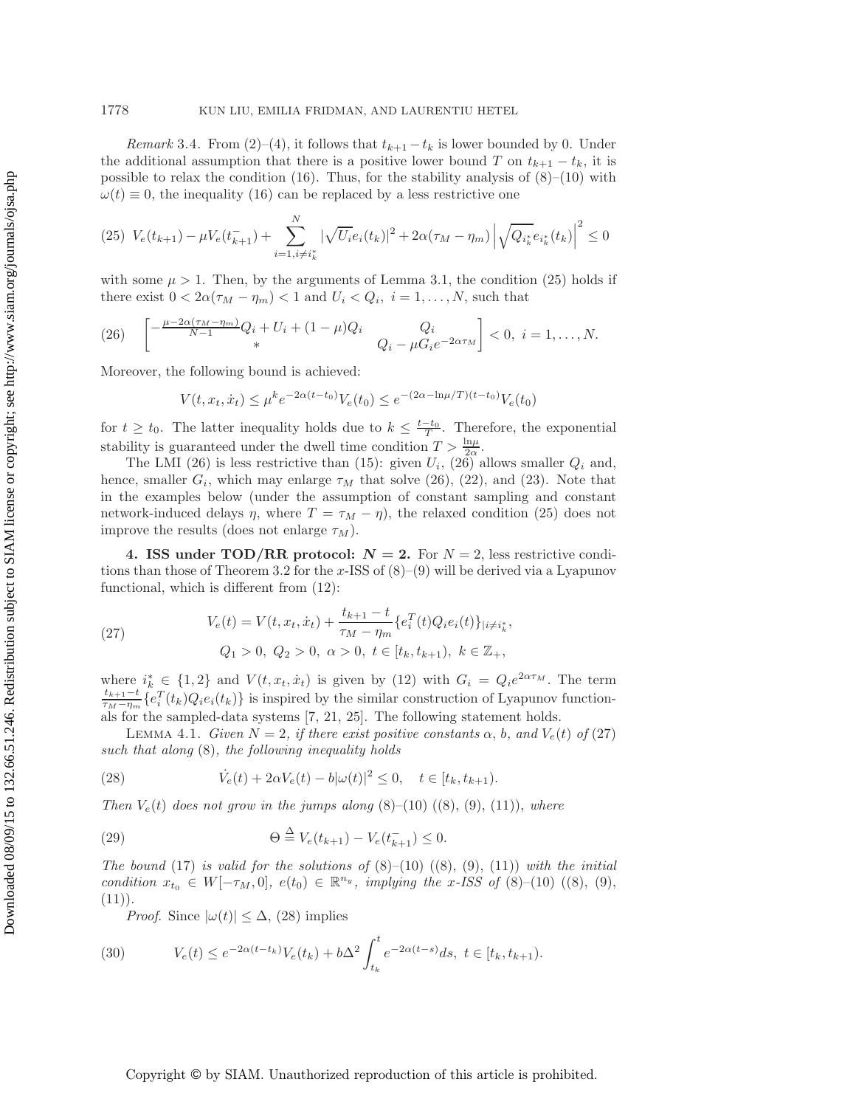*Remark* 3.4. From [\(2\)](#page-2-2)–[\(4\)](#page-2-1), it follows that  $t_{k+1} - t_k$  is lower bounded by 0. Under the additional assumption that there is a positive lower bound T on  $t_{k+1} - t_k$ , it is possible to relax the condition  $(16)$ . Thus, for the stability analysis of  $(8)$ – $(10)$  with  $\omega(t) \equiv 0$ , the inequality [\(16\)](#page-7-2) can be replaced by a less restrictive one

$$
(25)\ \ V_e(t_{k+1}) - \mu V_e(t_{k+1}^-) + \sum_{i=1, i \neq i_k^*}^N |\sqrt{U_i} e_i(t_k)|^2 + 2\alpha (\tau_M - \eta_m) |\sqrt{Q_{i_k^*}} e_{i_k^*}(t_k)|^2 \leq 0
$$

with some  $\mu > 1$ . Then, by the arguments of Lemma [3.1,](#page-7-7) the condition [\(25\)](#page-10-1) holds if there exist  $0 < 2\alpha(\tau_M - \eta_m) < 1$  and  $U_i < Q_i$ ,  $i = 1, \ldots, N$ , such that

(26) 
$$
\begin{bmatrix} -\frac{\mu - 2\alpha(\tau_M - \eta_m)}{N-1}Q_i + U_i + (1-\mu)Q_i & Q_i \\ * & Q_i - \mu G_i e^{-2\alpha \tau_M} \end{bmatrix} < 0, \ i = 1, \dots, N.
$$

Moreover, the following bound is achieved:

<span id="page-10-2"></span><span id="page-10-1"></span>
$$
V(t, x_t, \dot{x}_t) \le \mu^k e^{-2\alpha(t - t_0)} V_e(t_0) \le e^{-(2\alpha - \ln \mu/T)(t - t_0)} V_e(t_0)
$$

for  $t \geq t_0$ . The latter inequality holds due to  $k \leq \frac{t-t_0}{T}$ . Therefore, the exponential stability is guaranteed under the dwell time condition  $T > \frac{\ln \mu}{2\alpha}$ .

The LMI [\(26\)](#page-10-2) is less restrictive than [\(15\)](#page-7-1): given  $U_i$ , (26) allows smaller  $Q_i$  and, hence, smaller  $G_i$ , which may enlarge  $\tau_M$  that solve [\(26\)](#page-10-2), [\(22\)](#page-9-1), and [\(23\)](#page-9-2). Note that in the examples below (under the assumption of constant sampling and constant network-induced delays  $\eta$ , where  $T = \tau_M - \eta$ , the relaxed condition [\(25\)](#page-10-1) does not improve the results (does not enlarge  $\tau_M$ ).

<span id="page-10-0"></span>**4. ISS under TOD/RR protocol:**  $N = 2$ . For  $N = 2$ , less restrictive condi-tions than those of Theorem [3.2](#page-9-0) for the x-ISS of  $(8)$ – $(9)$  will be derived via a Lyapunov functional, which is different from [\(12\)](#page-6-1):

<span id="page-10-3"></span>(27) 
$$
V_e(t) = V(t, x_t, \dot{x}_t) + \frac{t_{k+1} - t}{\tau_M - \eta_m} \{e_i^T(t) Q_i e_i(t)\}_{|i \neq i^*_k},
$$

$$
Q_1 > 0, \ Q_2 > 0, \ \alpha > 0, \ t \in [t_k, t_{k+1}), \ k \in \mathbb{Z}_+,
$$

where  $i_k^*$  ∈ {1, 2} and  $V(t, x_t, \dot{x}_t)$  is given by [\(12\)](#page-6-1) with  $G_i = Q_i e^{2\alpha \tau_M}$ . The term  $t_{k+1}-t \int_C T(t, \cdot) Q_i(t, \cdot)$  is increased by the similar construction of Lyonmon function  $\frac{t_{k+1}-t}{\tau_M-\eta_m}\{e_i^T(t_k)Q_ie_i(t_k)\}\$ is inspired by the similar construction of Lyapunov functionals for the sampled-data systems [\[7,](#page-20-20) [21,](#page-20-2) [25\]](#page-20-21). The following statement holds.

<span id="page-10-5"></span>LEMMA 4.1. *Given*  $N = 2$ , *if there exist positive constants*  $\alpha$ , *b*, and  $V_e(t)$  of [\(27\)](#page-10-3) *such that along* [\(8\)](#page-3-2)*, the following inequality holds*

<span id="page-10-4"></span>(28) 
$$
\dot{V}_e(t) + 2\alpha V_e(t) - b|\omega(t)|^2 \leq 0, \quad t \in [t_k, t_{k+1}).
$$

*Then*  $V_e(t)$  *does not grow in the jumps along*  $(8)$ – $(10)$   $((8), (9), (11))$  $((8), (9), (11))$  $((8), (9), (11))$  $((8), (9), (11))$  $((8), (9), (11))$ *, where* 

(29) 
$$
\Theta \stackrel{\Delta}{=} V_e(t_{k+1}) - V_e(t_{k+1}^-) \leq 0.
$$

*The bound* [\(17\)](#page-7-5) *is valid for the solutions of*  $(8)-(10)$  $(8)-(10)$  $(8)-(10)$   $((8), (9), (11))$  $((8), (9), (11))$  $((8), (9), (11))$  $((8), (9), (11))$  $((8), (9), (11))$  *with the initial condition*  $x_{t_0} \in W[-\tau_M, 0], e(t_0) \in \mathbb{R}^{n_y}$ , *implying the* x*-ISS of* [\(8\)](#page-3-2)–[\(10\)](#page-5-0) ((8), [\(9\)](#page-4-0),  $(11)$ .

*Proof.* Since  $|\omega(t)| \leq \Delta$ , [\(28\)](#page-10-4) implies

(30) 
$$
V_e(t) \le e^{-2\alpha(t-t_k)} V_e(t_k) + b\Delta^2 \int_{t_k}^t e^{-2\alpha(t-s)} ds, \ t \in [t_k, t_{k+1}).
$$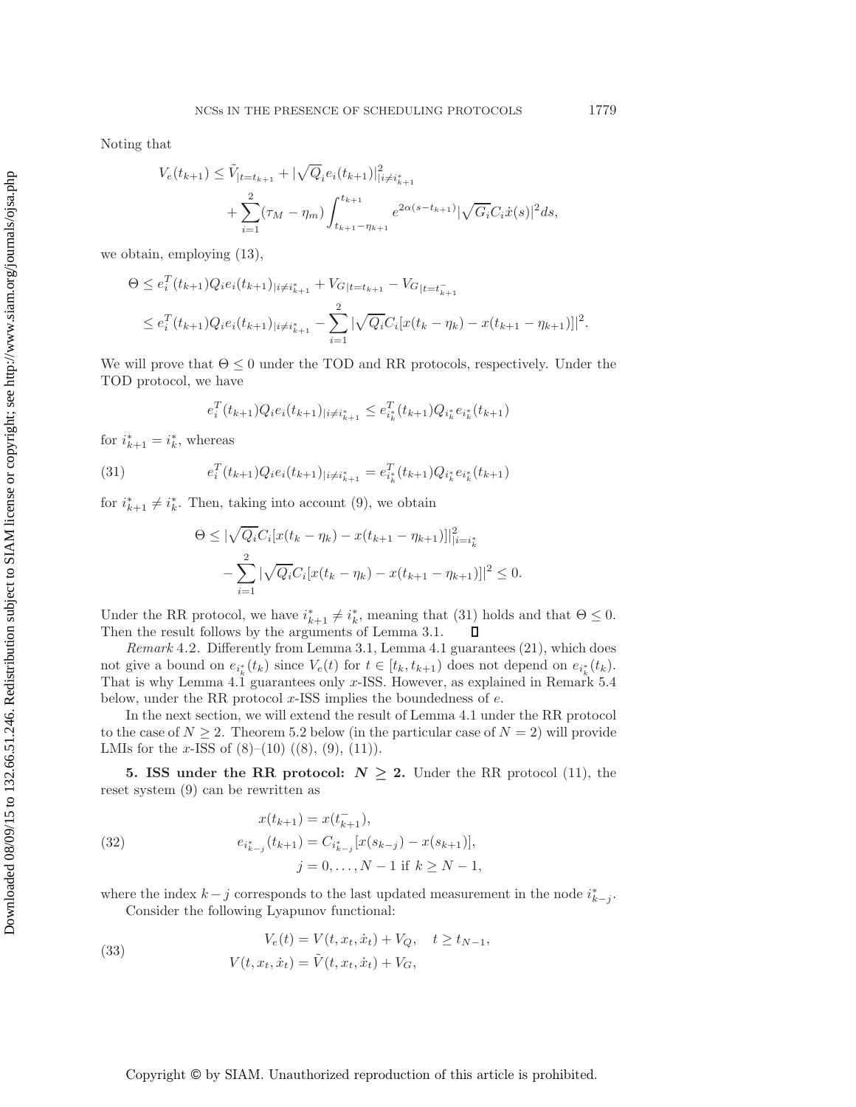Noting that

$$
V_e(t_{k+1}) \leq \tilde{V}_{|t=t_{k+1}} + |\sqrt{Q}_i e_i(t_{k+1})|_{|i \neq i_{k+1}^*}^2 + \sum_{i=1}^2 (\tau_M - \eta_m) \int_{t_{k+1} - \eta_{k+1}}^{t_{k+1}} e^{2\alpha(s - t_{k+1})} |\sqrt{G_i} C_i \dot{x}(s)|^2 ds,
$$

we obtain, employing [\(13\)](#page-6-2),

$$
\Theta \le e_i^T(t_{k+1})Q_i e_i(t_{k+1})_{|i \neq i_{k+1}^*} + V_{G|t=t_{k+1}} - V_{G|t=t_{k+1}^-}
$$
  

$$
\le e_i^T(t_{k+1})Q_i e_i(t_{k+1})_{|i \neq i_{k+1}^*} - \sum_{i=1}^2 |\sqrt{Q_i} C_i[x(t_k - \eta_k) - x(t_{k+1} - \eta_{k+1})]|^2.
$$

We will prove that  $\Theta \leq 0$  under the TOD and RR protocols, respectively. Under the TOD protocol, we have

<span id="page-11-1"></span>
$$
e_i^T(t_{k+1})Q_ie_i(t_{k+1})_{|i\neq i_{k+1}^*}\leq e_{i_k^*}^T(t_{k+1})Q_{i_k^*}e_{i_k^*}(t_{k+1})
$$

for  $i_{k+1}^* = i_k^*$ , whereas

(31) 
$$
e_i^T(t_{k+1})Q_i e_i(t_{k+1})_{|i \neq i_{k+1}^*} = e_{i_k^*}^T(t_{k+1})Q_{i_k^*} e_{i_k^*}(t_{k+1})
$$

for  $i_{k+1}^* \neq i_k^*$ . Then, taking into account [\(9\)](#page-4-0), we obtain

$$
\Theta \leq |\sqrt{Q_i}C_i[x(t_k - \eta_k) - x(t_{k+1} - \eta_{k+1})]|_{i=i_k^*}^2
$$
  

$$
-\sum_{i=1}^2 |\sqrt{Q_i}C_i[x(t_k - \eta_k) - x(t_{k+1} - \eta_{k+1})]|^2 \leq 0.
$$

Under the RR protocol, we have  $i_{k+1}^* \neq i_k^*$ , meaning that  $(31)$  holds and that  $\Theta \leq 0$ . Then the result follows by the arguments of Lemma [3.1.](#page-7-7)

*Remark* 4.2. Differently from Lemma [3.1,](#page-7-7) Lemma [4.1](#page-10-5) guarantees [\(21\)](#page-8-0), which does not give a bound on  $e_{i_k^*}(t_k)$  since  $V_e(t)$  for  $t \in [t_k, t_{k+1})$  does not depend on  $e_{i_k^*}(t_k)$ . That is why Lemma [4.1](#page-10-5) guarantees only  $x$ -ISS. However, as explained in Remark [5.4](#page-14-1) below, under the RR protocol  $x$ -ISS implies the boundedness of  $e$ .

In the next section, we will extend the result of Lemma [4.1](#page-10-5) under the RR protocol to the case of  $N \geq 2$ . Theorem [5.2](#page-13-0) below (in the particular case of  $N = 2$ ) will provide LMIs for the x-ISS of  $(8)$ – $(10)$   $((8), (9), (11))$  $((8), (9), (11))$  $((8), (9), (11))$  $((8), (9), (11))$  $((8), (9), (11))$ .

<span id="page-11-0"></span>**5. ISS under the RR protocol:**  $N \geq 2$ . Under the RR protocol [\(11\)](#page-5-1), the reset system [\(9\)](#page-4-0) can be rewritten as

<span id="page-11-2"></span>(32) 
$$
x(t_{k+1}) = x(t_{k+1}^{-}),
$$

$$
e_{i_{k-j}^{*}}(t_{k+1}) = C_{i_{k-j}^{*}}[x(s_{k-j}) - x(s_{k+1})],
$$

$$
j = 0, ..., N-1 \text{ if } k \ge N-1,
$$

<span id="page-11-3"></span>where the index  $k - j$  corresponds to the last updated measurement in the node  $i_{k-j}^*$ . Consider the following Lyapunov functional:

(33) 
$$
V_e(t) = V(t, x_t, \dot{x}_t) + V_Q, \quad t \ge t_{N-1},
$$

$$
V(t, x_t, \dot{x}_t) = \tilde{V}(t, x_t, \dot{x}_t) + V_G,
$$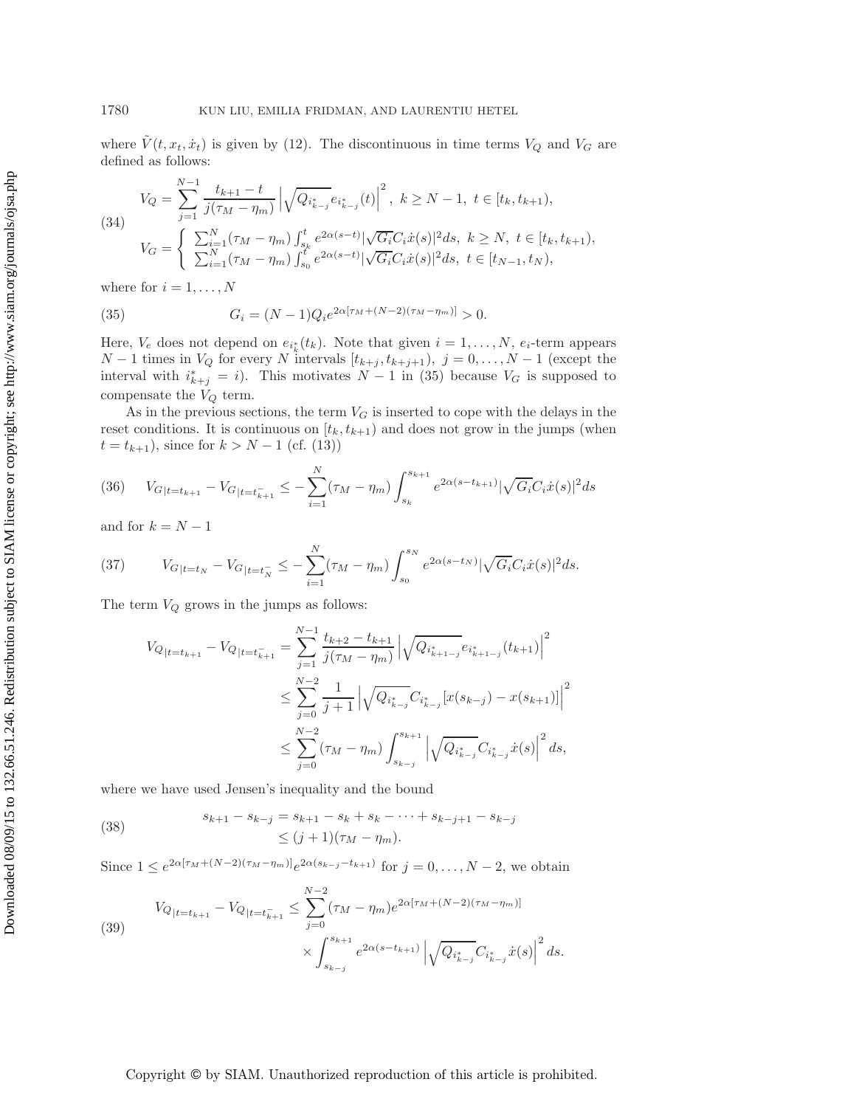where  $V(t, x_t, \dot{x}_t)$  is given by [\(12\)](#page-6-1). The discontinuous in time terms  $V_Q$  and  $V_G$  are defined as follows:

(34)  
\n
$$
V_Q = \sum_{j=1}^{N-1} \frac{t_{k+1} - t}{j(\tau_M - \eta_m)} \left| \sqrt{Q_{i_{k-j}^*}} e_{i_{k-j}^*}(t) \right|^2, \ k \ge N - 1, \ t \in [t_k, t_{k+1}),
$$
\n
$$
V_G = \begin{cases} \sum_{i=1}^N (\tau_M - \eta_m) \int_{s_k}^t e^{2\alpha(s-t)} |\sqrt{G_i} C_i \dot{x}(s)|^2 ds, \ k \ge N, \ t \in [t_k, t_{k+1}),\\ \sum_{i=1}^N (\tau_M - \eta_m) \int_{s_0}^t e^{2\alpha(s-t)} |\sqrt{G_i} C_i \dot{x}(s)|^2 ds, \ t \in [t_{N-1}, t_N), \end{cases}
$$

<span id="page-12-0"></span>where for  $i = 1, \ldots, N$ 

(35) 
$$
G_i = (N-1)Q_i e^{2\alpha[\tau_M + (N-2)(\tau_M - \eta_m)]} > 0.
$$

Here,  $V_e$  does not depend on  $e_{i_k^*}(t_k)$ . Note that given  $i = 1, \ldots, N$ ,  $e_i$ -term appears  $N-1$  times in  $V_Q$  for every N intervals  $[t_{k+j}, t_{k+j+1}), j = 0, \ldots, N-1$  (except the interval with  $i_{k+j}^* = i$ ). This motivates  $N-1$  in [\(35\)](#page-12-0) because  $V_G$  is supposed to compensate the  $V_Q$  term.

As in the previous sections, the term  $V_G$  is inserted to cope with the delays in the reset conditions. It is continuous on  $[t_k, t_{k+1})$  and does not grow in the jumps (when  $t = t_{k+1}$ , since for  $k > N - 1$  (cf. [\(13\)](#page-6-2))

<span id="page-12-2"></span>
$$
(36) \tV_{G|t=t_{k+1}} - V_{G|t=t_{k+1}} \leq -\sum_{i=1}^{N} (\tau_M - \eta_m) \int_{s_k}^{s_{k+1}} e^{2\alpha(s-t_{k+1})} |\sqrt{G_i}C_i \dot{x}(s)|^2 ds
$$

<span id="page-12-4"></span>and for  $k = N - 1$ 

(37) 
$$
V_{G|t=t_N} - V_{G|t=t_N} \leq -\sum_{i=1}^N (\tau_M - \eta_m) \int_{s_0}^{s_N} e^{2\alpha(s-t_N)} |\sqrt{G_i} C_i \dot{x}(s)|^2 ds.
$$

The term  $V_Q$  grows in the jumps as follows:

<span id="page-12-1"></span>
$$
V_{Q|t=t_{k+1}} - V_{Q|t=t_{k+1}} = \sum_{j=1}^{N-1} \frac{t_{k+2} - t_{k+1}}{j(\tau_M - \eta_m)} \left| \sqrt{Q_{i_{k+1-j}^*}} e_{i_{k+1-j}^*}(t_{k+1}) \right|^2
$$
  

$$
\leq \sum_{j=0}^{N-2} \frac{1}{j+1} \left| \sqrt{Q_{i_{k-j}^*}} C_{i_{k-j}^*} [x(s_{k-j}) - x(s_{k+1})] \right|^2
$$
  

$$
\leq \sum_{j=0}^{N-2} (\tau_M - \eta_m) \int_{s_{k-j}}^{s_{k+1}} \left| \sqrt{Q_{i_{k-j}^*}} C_{i_{k-j}^*} \dot{x}(s) \right|^2 ds,
$$

where we have used Jensen's inequality and the bound

(38) 
$$
s_{k+1} - s_{k-j} = s_{k+1} - s_k + s_k - \dots + s_{k-j+1} - s_{k-j} \leq (j+1)(\tau_M - \eta_m).
$$

<span id="page-12-3"></span>Since  $1 \leq e^{2\alpha[\tau_M + (N-2)(\tau_M - \eta_m)]}e^{2\alpha(s_{k-j} - t_{k+1})}$  for  $j = 0, \ldots, N-2$ , we obtain

(39) 
$$
V_{Q|t=t_{k+1}} - V_{Q|t=t_{k+1}^-} \leq \sum_{j=0}^{N-2} (\tau_M - \eta_m) e^{2\alpha[\tau_M + (N-2)(\tau_M - \eta_m)]} \times \int_{s_{k-j}}^{s_{k+1}} e^{2\alpha(s-t_{k+1})} \left| \sqrt{Q_{i_{k-j}^*}} C_{i_{k-j}^*} \dot{x}(s) \right|^2 ds.
$$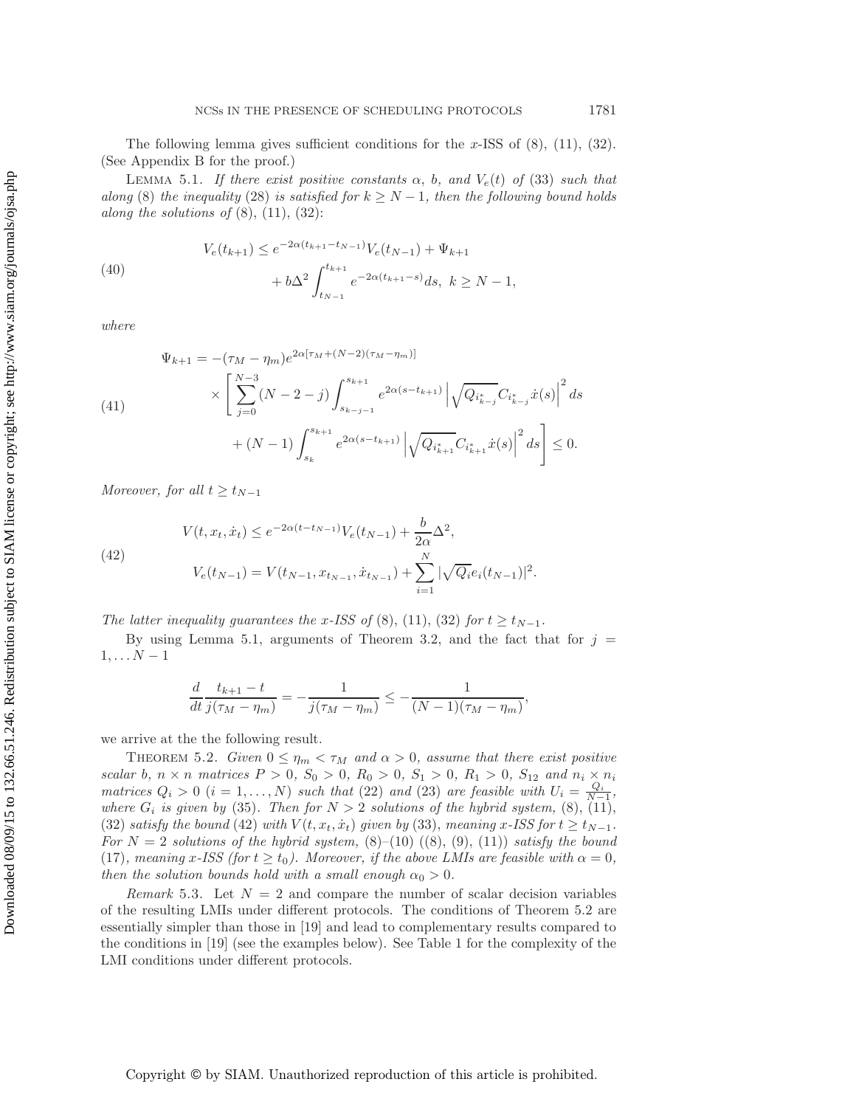<span id="page-13-1"></span>The following lemma gives sufficient conditions for the x-ISS of  $(8)$ ,  $(11)$ ,  $(32)$ . (See Appendix [B](#page-17-1) for the proof.)

<span id="page-13-3"></span>LEMMA 5.1. *If there exist positive constants*  $\alpha$ ,  $b$ , and  $V_e(t)$  of [\(33\)](#page-11-3) such that *along* [\(8\)](#page-3-2) *the inequality* [\(28\)](#page-10-4) *is satisfied for*  $k \geq N - 1$ *, then the following bound holds along the solutions of*  $(8)$ ,  $(11)$ ,  $(32)$ :

(40)  

$$
V_e(t_{k+1}) \le e^{-2\alpha(t_{k+1}-t_{N-1})} V_e(t_{N-1}) + \Psi_{k+1}
$$

$$
+ b\Delta^2 \int_{t_{N-1}}^{t_{k+1}} e^{-2\alpha(t_{k+1}-s)} ds, \ k \ge N-1,
$$

*where*

(41)  
\n
$$
\Psi_{k+1} = -(\tau_M - \eta_m) e^{2\alpha[\tau_M + (N-2)(\tau_M - \eta_m)]}
$$
\n
$$
\times \left[ \sum_{j=0}^{N-3} (N-2-j) \int_{s_{k-j-1}}^{s_{k+1}} e^{2\alpha(s-t_{k+1})} \left| \sqrt{Q_{i_{k-j}^*}} C_{i_{k-j}^*} \dot{x}(s) \right|^2 ds \right. \\
\left. + (N-1) \int_{s_k}^{s_{k+1}} e^{2\alpha(s-t_{k+1})} \left| \sqrt{Q_{i_{k+1}^*}} C_{i_{k+1}^*} \dot{x}(s) \right|^2 ds \right] \le 0.
$$

<span id="page-13-2"></span>*Moreover, for all*  $t \ge t_{N-1}$ 

(42)  

$$
V(t, x_t, \dot{x}_t) \le e^{-2\alpha(t - t_{N-1})} V_e(t_{N-1}) + \frac{b}{2\alpha} \Delta^2,
$$

$$
V_e(t_{N-1}) = V(t_{N-1}, x_{t_{N-1}}, \dot{x}_{t_{N-1}}) + \sum_{i=1}^N |\sqrt{Q_i} e_i(t_{N-1})|^2.
$$

*The latter inequality guarantees the x-ISS of* [\(8\)](#page-3-2), [\(11\)](#page-5-1), [\(32\)](#page-11-2) *for*  $t \ge t_{N-1}$ *.* 

By using Lemma [5.1,](#page-13-1) arguments of Theorem [3.2,](#page-9-0) and the fact that for  $j =$  $1,\ldots N-1$ 

$$
\frac{d}{dt}\frac{t_{k+1}-t}{j(\tau_M-\eta_m)}=-\frac{1}{j(\tau_M-\eta_m)}\leq -\frac{1}{(N-1)(\tau_M-\eta_m)},
$$

<span id="page-13-0"></span>we arrive at the the following result.

THEOREM 5.2. *Given*  $0 \le \eta_m < \tau_M$  and  $\alpha > 0$ , assume that there exist positive *scalar* b,  $n \times n$  *matrices*  $P > 0$ ,  $S_0 > 0$ ,  $R_0 > 0$ ,  $S_1 > 0$ ,  $R_1 > 0$ ,  $S_{12}$  and  $n_i \times n_i$ *matrices*  $Q_i > 0$  ( $i = 1, ..., N$ ) *such that* [\(22\)](#page-9-1) *and* [\(23\)](#page-9-2) *are feasible with*  $U_i = \frac{Q_i}{N-1}$ , *where*  $G_i$  *is given by* [\(35\)](#page-12-0). Then for  $N > 2$  *solutions of the hybrid system,* [\(8\)](#page-3-2), [\(11\)](#page-5-1), [\(32\)](#page-11-2) *satisfy the bound* [\(42\)](#page-13-2) *with*  $V(t, x_t, \dot{x}_t)$  *given by* [\(33\)](#page-11-3), *meaning* x-ISS for  $t \ge t_{N-1}$ . For  $N = 2$  solutions of the hybrid system,  $(8)$ – $(10)$   $((8), (9), (11))$  $((8), (9), (11))$  $((8), (9), (11))$  $((8), (9), (11))$  $((8), (9), (11))$  *satisfy the bound* [\(17\)](#page-7-5)*, meaning* x-ISS (for  $t \ge t_0$ ). Moreover, if the above LMIs are feasible with  $\alpha = 0$ , *then the solution bounds hold with a small enough*  $\alpha_0 > 0$ *.* 

*Remark* 5.3. Let  $N = 2$  and compare the number of scalar decision variables of the resulting LMIs under different protocols. The conditions of Theorem [5.2](#page-13-0) are essentially simpler than those in [\[19\]](#page-20-12) and lead to complementary results compared to the conditions in [\[19\]](#page-20-12) (see the examples below). See Table [1](#page-14-2) for the complexity of the LMI conditions under different protocols.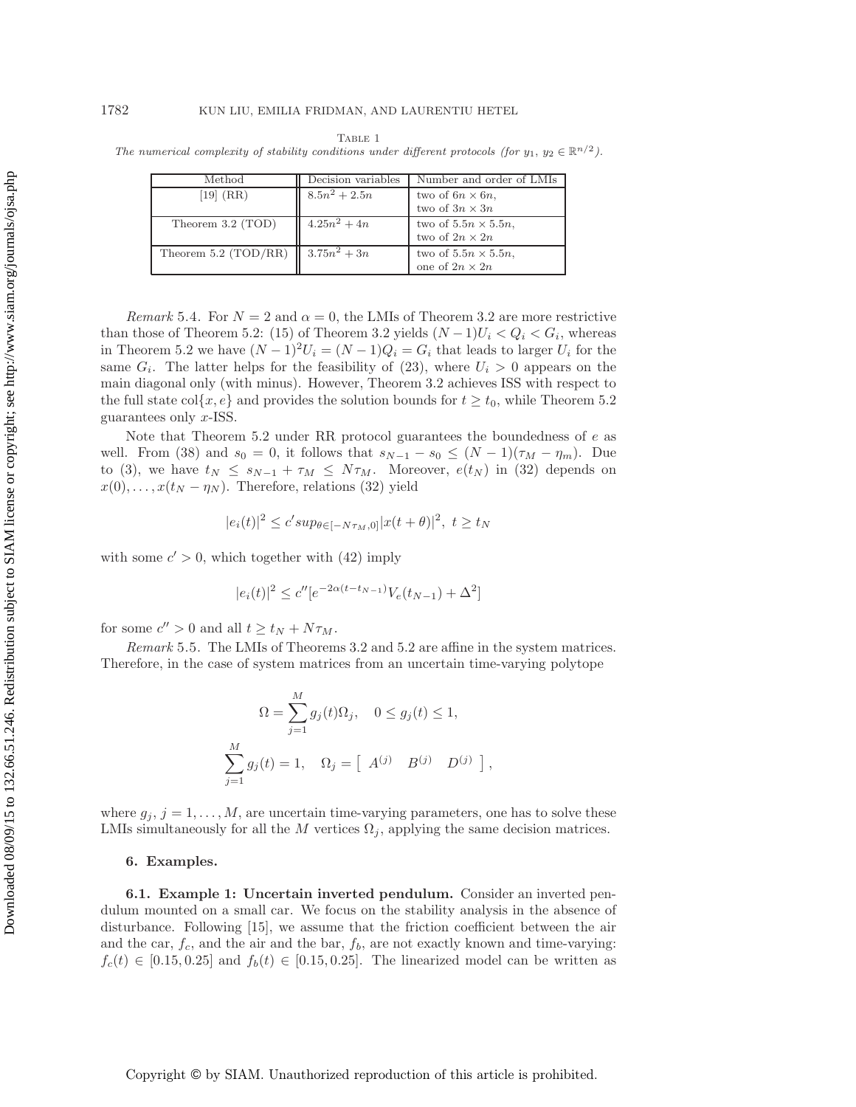### 1782 KUN LIU, EMILIA FRIDMAN, AND LAURENTIU HETEL

<span id="page-14-2"></span>

| TABLE 1                                                                                                            |  |  |  |  |  |  |  |  |  |  |
|--------------------------------------------------------------------------------------------------------------------|--|--|--|--|--|--|--|--|--|--|
| The numerical complexity of stability conditions under different protocols (for $y_1, y_2 \in \mathbb{R}^{n/2}$ ). |  |  |  |  |  |  |  |  |  |  |

| Method               | Decision variables | Number and order of LMIs    |
|----------------------|--------------------|-----------------------------|
| [19] (RR)            | $8.5n^2 + 2.5n$    | two of $6n \times 6n$ ,     |
|                      |                    | two of $3n\times 3n$        |
| Theorem 3.2 (TOD)    | $4.25n^2 + 4n$     | two of $5.5n \times 5.5n$ , |
|                      |                    | two of $2n \times 2n$       |
| Theorem 5.2 (TOD/RR) | $3.75n^2 + 3n$     | two of $5.5n \times 5.5n$ , |
|                      |                    | one of $2n \times 2n$       |

<span id="page-14-1"></span>*Remark* 5.4. For  $N = 2$  and  $\alpha = 0$ , the LMIs of Theorem [3.2](#page-9-0) are more restrictive than those of Theorem [5.2:](#page-13-0) [\(15\)](#page-7-1) of Theorem [3.2](#page-9-0) yields  $(N-1)U_i < Q_i < G_i$ , whereas in Theorem [5.2](#page-13-0) we have  $(N-1)^2U_i = (N-1)Q_i = G_i$  that leads to larger  $U_i$  for the same  $G_i$ . The latter helps for the feasibility of [\(23\)](#page-9-2), where  $U_i > 0$  appears on the main diagonal only (with minus). However, Theorem [3.2](#page-9-0) achieves ISS with respect to the full state col{x, e} and provides the solution bounds for  $t \ge t_0$ , while Theorem [5.2](#page-13-0) guarantees only x-ISS.

Note that Theorem [5.2](#page-13-0) under RR protocol guarantees the boundedness of  $e$  as well. From [\(38\)](#page-12-1) and  $s_0 = 0$ , it follows that  $s_{N-1} - s_0 \leq (N-1)(\tau_M - \eta_m)$ . Due to [\(3\)](#page-2-0), we have  $t_N \leq s_{N-1} + \tau_M \leq N\tau_M$ . Moreover,  $e(t_N)$  in [\(32\)](#page-11-2) depends on  $x(0),...,x(t_N - \eta_N)$ . Therefore, relations [\(32\)](#page-11-2) yield

$$
|e_i(t)|^2 \le c'sup_{\theta \in [-N\tau_M,0]} |x(t+\theta)|^2, \ t \ge t_N
$$

with some  $c' > 0$ , which together with [\(42\)](#page-13-2) imply

$$
|e_i(t)|^2 \le c'' [e^{-2\alpha(t-t_{N-1})} V_e(t_{N-1}) + \Delta^2]
$$

<span id="page-14-3"></span>for some  $c'' > 0$  and all  $t \ge t_N + N\tau_M$ .

*Remark* 5.5. The LMIs of Theorems [3.2](#page-9-0) and [5.2](#page-13-0) are affine in the system matrices. Therefore, in the case of system matrices from an uncertain time-varying polytope

$$
\Omega = \sum_{j=1}^{M} g_j(t)\Omega_j, \quad 0 \le g_j(t) \le 1,
$$
  

$$
\sum_{j=1}^{M} g_j(t) = 1, \quad \Omega_j = \begin{bmatrix} A^{(j)} & B^{(j)} & D^{(j)} \end{bmatrix}
$$

,

where  $g_j$ ,  $j = 1, \ldots, M$ , are uncertain time-varying parameters, one has to solve these LMIs simultaneously for all the M vertices  $\Omega_j$ , applying the same decision matrices.

#### <span id="page-14-0"></span>**6. Examples.**

**6.1. Example 1: Uncertain inverted pendulum.** Consider an inverted pendulum mounted on a small car. We focus on the stability analysis in the absence of disturbance. Following [\[15\]](#page-20-22), we assume that the friction coefficient between the air and the car,  $f_c$ , and the air and the bar,  $f_b$ , are not exactly known and time-varying:  $f_c(t) \in [0.15, 0.25]$  and  $f_b(t) \in [0.15, 0.25]$ . The linearized model can be written as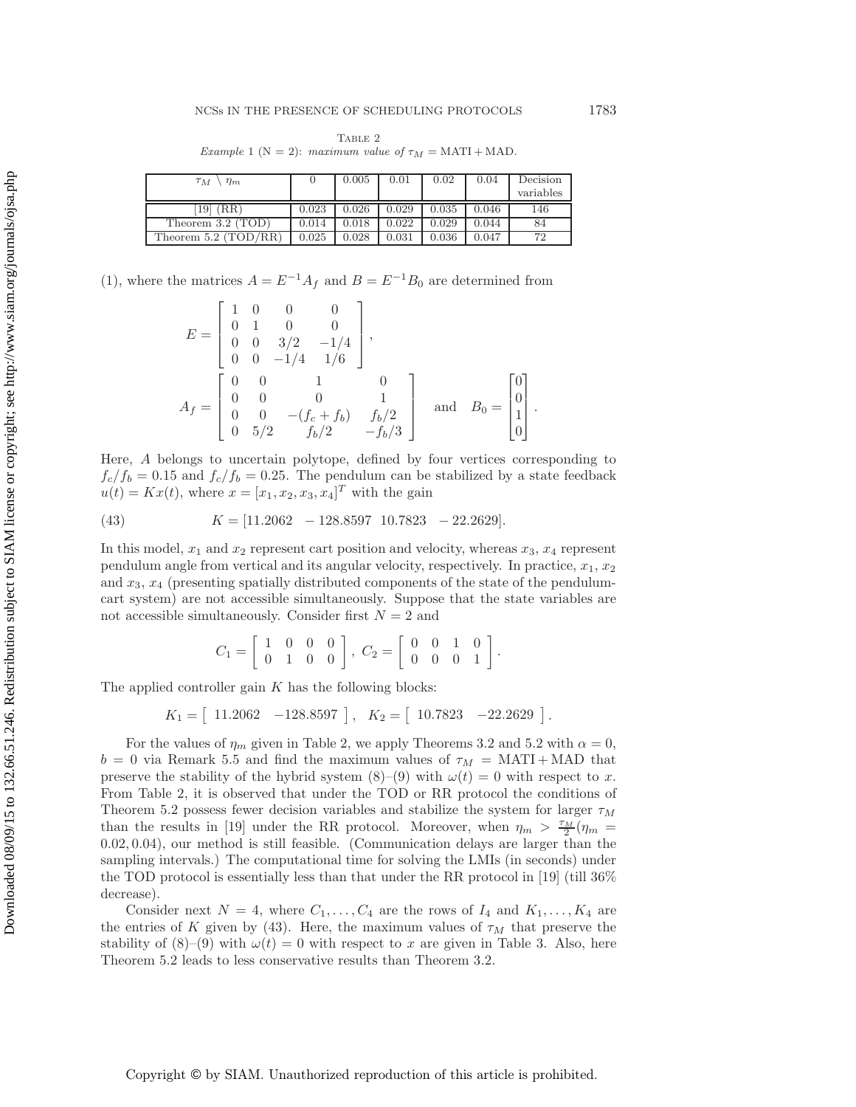<span id="page-15-0"></span>TABLE 2 Example 1 ( $N = 2$ ): maximum value of  $\tau_M = \text{MATI} + \text{MAD}$ .

| $\tau_M$<br>$\eta_m$   |       | 0.005 | 0.01  | 0.02  | 0.04  | Decision<br>variables |
|------------------------|-------|-------|-------|-------|-------|-----------------------|
| $19 \mid (RR)$         | 0.023 | 0.026 | 0.029 | 0.035 | 0.046 | 146                   |
| Theorem 3.2 (TOD)      | 0.014 | 0.018 | 0.022 | 0.029 | 0.044 | 84                    |
| Theorem $5.2$ (TOD/RR) | 0.025 | 0.028 | 0.031 | 0.036 | 0.047 | 72                    |

[\(1\)](#page-1-0), where the matrices  $A = E^{-1}A_f$  and  $B = E^{-1}B_0$  are determined from

$$
E = \begin{bmatrix} 1 & 0 & 0 & 0 \\ 0 & 1 & 0 & 0 \\ 0 & 0 & 3/2 & -1/4 \\ 0 & 0 & -1/4 & 1/6 \end{bmatrix},
$$
  
\n
$$
A_f = \begin{bmatrix} 0 & 0 & 1 & 0 \\ 0 & 0 & 0 & 1 \\ 0 & 0 & -(f_c + f_b) & f_b/2 \\ 0 & 5/2 & f_b/2 & -f_b/3 \end{bmatrix} \text{ and } B_0 = \begin{bmatrix} 0 \\ 0 \\ 1 \\ 0 \end{bmatrix}.
$$

Here, A belongs to uncertain polytope, defined by four vertices corresponding to  $f_c/f_b = 0.15$  and  $f_c/f_b = 0.25$ . The pendulum can be stabilized by a state feedback  $u(t) = Kx(t)$ , where  $x = [x_1, x_2, x_3, x_4]^T$  with the gain

(43) 
$$
K = [11.2062 - 128.8597 \ 10.7823 - 22.2629].
$$

In this model,  $x_1$  and  $x_2$  represent cart position and velocity, whereas  $x_3$ ,  $x_4$  represent pendulum angle from vertical and its angular velocity, respectively. In practice,  $x_1, x_2$ and  $x_3, x_4$  (presenting spatially distributed components of the state of the pendulumcart system) are not accessible simultaneously. Suppose that the state variables are not accessible simultaneously. Consider first  $N = 2$  and

<span id="page-15-1"></span>
$$
C_1 = \left[ \begin{array}{rrr} 1 & 0 & 0 & 0 \\ 0 & 1 & 0 & 0 \end{array} \right], \ C_2 = \left[ \begin{array}{rrr} 0 & 0 & 1 & 0 \\ 0 & 0 & 0 & 1 \end{array} \right].
$$

The applied controller gain  $K$  has the following blocks:

 $K_1 = \begin{bmatrix} 11.2062 & -128.8597 \end{bmatrix}, K_2 = \begin{bmatrix} 10.7823 & -22.2629 \end{bmatrix}.$ 

For the values of  $\eta_m$  given in Table [2,](#page-15-0) we apply Theorems [3.2](#page-9-0) and [5.2](#page-13-0) with  $\alpha = 0$ ,  $b = 0$  via Remark [5.5](#page-14-3) and find the maximum values of  $\tau_M = \text{MATI} + \text{MAD}$  that preserve the stability of the hybrid system  $(8)-(9)$  $(8)-(9)$  $(8)-(9)$  with  $\omega(t) = 0$  with respect to x. From Table [2,](#page-15-0) it is observed that under the TOD or RR protocol the conditions of Theorem [5.2](#page-13-0) possess fewer decision variables and stabilize the system for larger  $\tau_M$ than the results in [\[19\]](#page-20-12) under the RR protocol. Moreover, when  $\eta_m > \frac{\tau_M}{2}(\eta_m =$ 0.02, 0.04), our method is still feasible. (Communication delays are larger than the sampling intervals.) The computational time for solving the LMIs (in seconds) under the TOD protocol is essentially less than that under the RR protocol in [\[19\]](#page-20-12) (till 36% decrease).

Consider next  $N = 4$ , where  $C_1, \ldots, C_4$  are the rows of  $I_4$  and  $K_1, \ldots, K_4$  are the entries of K given by [\(43\)](#page-15-1). Here, the maximum values of  $\tau_M$  that preserve the stability of [\(8\)](#page-3-2)–[\(9\)](#page-4-0) with  $\omega(t) = 0$  with respect to x are given in Table [3.](#page-16-0) Also, here Theorem [5.2](#page-13-0) leads to less conservative results than Theorem [3.2.](#page-9-0)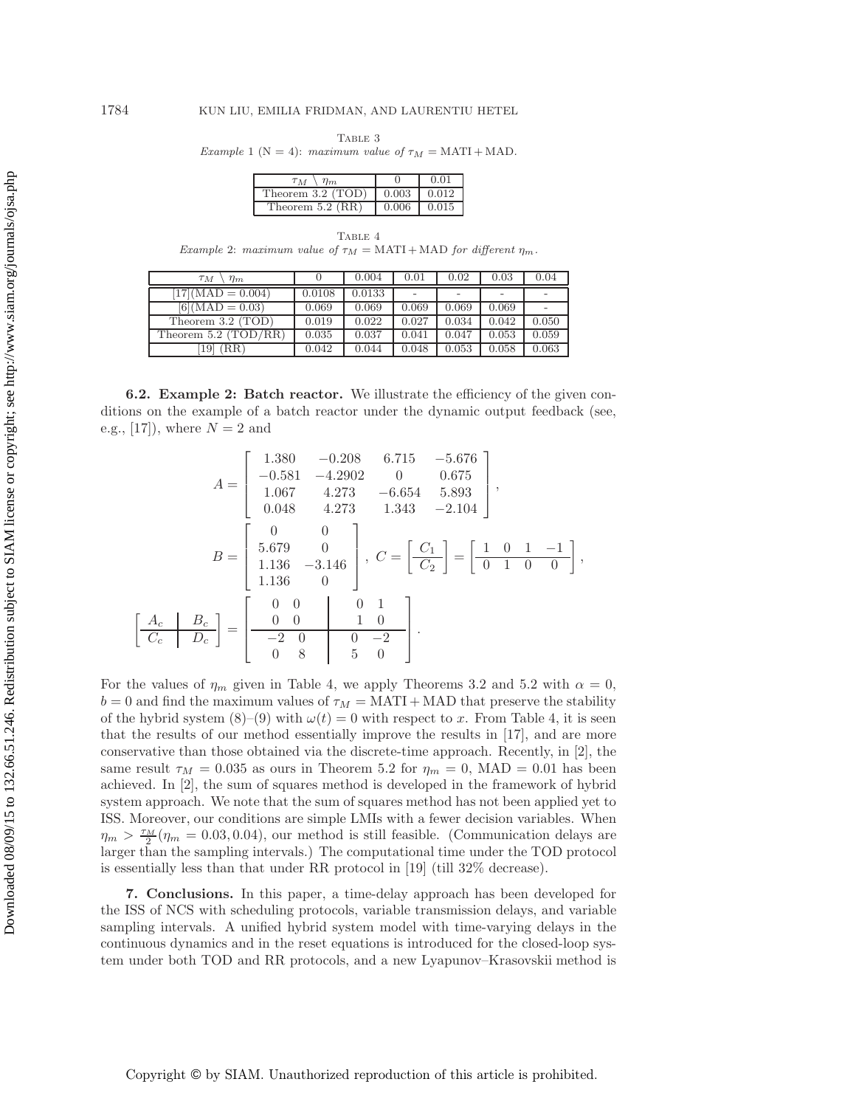<span id="page-16-0"></span> ${\bf Table~3}$ Example 1 ( $N = 4$ ): maximum value of  $\tau_M = \text{MATI} + \text{MAD}$ .

| $T_{M}$<br>$\eta_m$ |       | 0.01  |
|---------------------|-------|-------|
| Theorem 3.2 (TOD)   | 0.003 | 0.012 |
| Theorem $5.2$ (RR)  | 0.006 | 0.015 |

<span id="page-16-1"></span>TABLE 4 Example 2: maximum value of  $\tau_M = \text{MATI} + \text{MAD}$  for different  $\eta_m$ .

| $\tau_M$<br>$\eta_m$   |        | 0.004  | 0.01  | 0.02  | 0.03  | 0.04  |
|------------------------|--------|--------|-------|-------|-------|-------|
| $17$ $(MAD = 0.004)$   | 0.0108 | 0.0133 |       |       |       |       |
| $[6] (MAD = 0.03)$     | 0.069  | 0.069  | 0.069 | 0.069 | 0.069 |       |
| Theorem 3.2 (TOD)      | 0.019  | 0.022  | 0.027 | 0.034 | 0.042 | 0.050 |
| Theorem $5.2$ (TOD/RR) | 0.035  | 0.037  | 0.041 | 0.047 | 0.053 | 0.059 |
| (RR)<br>19             | 0.042  | 0.044  | 0.048 | 0.053 | 0.058 | 0.063 |

**6.2. Example 2: Batch reactor.** We illustrate the efficiency of the given conditions on the example of a batch reactor under the dynamic output feedback (see, e.g.,  $[17]$ , where  $N = 2$  and

$$
A = \begin{bmatrix} 1.380 & -0.208 & 6.715 & -5.676 \\ -0.581 & -4.2902 & 0 & 0.675 \\ 1.067 & 4.273 & -6.654 & 5.893 \\ 0.048 & 4.273 & 1.343 & -2.104 \end{bmatrix},
$$

$$
B = \begin{bmatrix} 0 & 0 \\ 5.679 & 0 \\ 1.136 & -3.146 \\ 1.136 & 0 \end{bmatrix}, C = \begin{bmatrix} C_1 \\ C_2 \end{bmatrix} = \begin{bmatrix} 1 & 0 & 1 & -1 \\ 0 & 1 & 0 & 0 \\ 0 & 1 & 0 & 0 \\ 0 & 0 & 0 & 0 \end{bmatrix},
$$

$$
\begin{bmatrix} A_c & B_c \\ C_c & D_c \end{bmatrix} = \begin{bmatrix} 0 & 0 & 0 & 1 \\ 0 & 0 & 1 & 0 \\ -2 & 0 & 0 & -2 \\ 0 & 8 & 5 & 0 \end{bmatrix}.
$$

For the values of  $\eta_m$  given in Table [4,](#page-16-1) we apply Theorems [3.2](#page-9-0) and [5.2](#page-13-0) with  $\alpha = 0$ ,  $b = 0$  and find the maximum values of  $\tau_M = \text{MATI} + \text{MAD}$  that preserve the stability of the hybrid system  $(8)-(9)$  $(8)-(9)$  $(8)-(9)$  with  $\omega(t) = 0$  with respect to x. From Table [4,](#page-16-1) it is seen that the results of our method essentially improve the results in [\[17\]](#page-20-9), and are more conservative than those obtained via the discrete-time approach. Recently, in [\[2\]](#page-19-1), the same result  $\tau_M = 0.035$  as ours in Theorem [5.2](#page-13-0) for  $\eta_m = 0$ , MAD = 0.01 has been achieved. In [\[2\]](#page-19-1), the sum of squares method is developed in the framework of hybrid system approach. We note that the sum of squares method has not been applied yet to ISS. Moreover, our conditions are simple LMIs with a fewer decision variables. When  $\eta_m > \frac{\tau_M}{2}(\eta_m = 0.03, 0.04)$ , our method is still feasible. (Communication delays are larger than the sampling intervals.) The computational time under the TOD protocol is essentially less than that under RR protocol in [\[19\]](#page-20-12) (till 32% decrease).

**7. Conclusions.** In this paper, a time-delay approach has been developed for the ISS of NCS with scheduling protocols, variable transmission delays, and variable sampling intervals. A unified hybrid system model with time-varying delays in the continuous dynamics and in the reset equations is introduced for the closed-loop system under both TOD and RR protocols, and a new Lyapunov–Krasovskii method is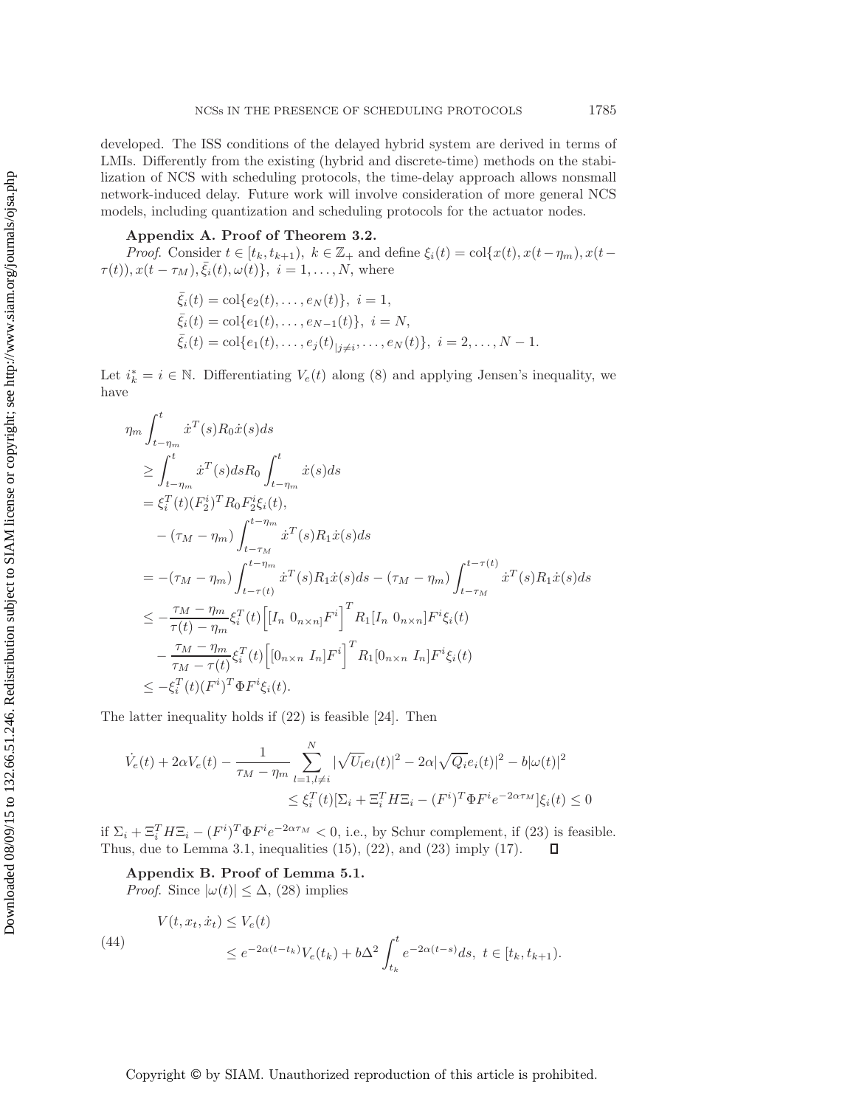developed. The ISS conditions of the delayed hybrid system are derived in terms of LMIs. Differently from the existing (hybrid and discrete-time) methods on the stabilization of NCS with scheduling protocols, the time-delay approach allows nonsmall network-induced delay. Future work will involve consideration of more general NCS models, including quantization and scheduling protocols for the actuator nodes.

## <span id="page-17-0"></span>**Appendix A. Proof of Theorem [3.2.](#page-9-0)**

*Proof.* Consider  $t \in [t_k, t_{k+1}), k \in \mathbb{Z}_+$  and define  $\xi_i(t) = \text{col}\{x(t), x(t-\eta_m), x(t-\eta_m)\}$  $\tau(t), x(t - \tau_M), \bar{\xi}_i(t), \omega(t) \}, i = 1, ..., N$ , where

$$
\bar{\xi}_i(t) = \text{col}\{e_2(t), \dots, e_N(t)\}, \ i = 1,\n\bar{\xi}_i(t) = \text{col}\{e_1(t), \dots, e_{N-1}(t)\}, \ i = N,\n\bar{\xi}_i(t) = \text{col}\{e_1(t), \dots, e_j(t)|_{j \neq i}, \dots, e_N(t)\}, \ i = 2, \dots, N-1.
$$

Let  $i_k^* = i \in \mathbb{N}$ . Differentiating  $V_e(t)$  along [\(8\)](#page-3-2) and applying Jensen's inequality, we have

$$
\eta_m \int_{t-\eta_m}^t \dot{x}^T(s) R_0 \dot{x}(s) ds \n\geq \int_{t-\eta_m}^t \dot{x}^T(s) ds R_0 \int_{t-\eta_m}^t \dot{x}(s) ds \n= \xi_i^T(t) (F_2^i)^T R_0 F_2^i \xi_i(t), \n- (\tau_M - \eta_m) \int_{t-\tau_M}^{t-\eta_m} \dot{x}^T(s) R_1 \dot{x}(s) ds \n= -(\tau_M - \eta_m) \int_{t-\tau(t)}^{t-\eta_m} \dot{x}^T(s) R_1 \dot{x}(s) ds - (\tau_M - \eta_m) \int_{t-\tau_M}^{t-\tau(t)} \dot{x}^T(s) R_1 \dot{x}(s) ds \n\leq -\frac{\tau_M - \eta_m}{\tau(t) - \eta_m} \xi_i^T(t) \Big[ [I_n \ 0_{n \times n}] F^i \Big]^T R_1 [I_n \ 0_{n \times n}] F^i \xi_i(t) \n- \frac{\tau_M - \eta_m}{\tau_M - \tau(t)} \xi_i^T(t) \Big[ [0_{n \times n} I_n] F^i \Big]^T R_1 [0_{n \times n} I_n] F^i \xi_i(t) \n\leq -\xi_i^T(t) (F^i)^T \Phi F^i \xi_i(t).
$$

The latter inequality holds if [\(22\)](#page-9-1) is feasible [\[24\]](#page-20-23). Then

$$
\dot{V}_e(t) + 2\alpha V_e(t) - \frac{1}{\tau_M - \eta_m} \sum_{l=1, l \neq i}^{N} |\sqrt{U_l} e_l(t)|^2 - 2\alpha |\sqrt{Q_i} e_i(t)|^2 - b|\omega(t)|^2
$$
  

$$
\leq \xi_i^T(t)[\Sigma_i + \Xi_i^T H \Xi_i - (F^i)^T \Phi F^i e^{-2\alpha \tau_M}]\xi_i(t) \leq 0
$$

<span id="page-17-1"></span>if  $\Sigma_i + \Xi_i^T H \Xi_i - (F^i)^T \Phi F^i e^{-2\alpha \tau_M} < 0$ , i.e., by Schur complement, if [\(23\)](#page-9-2) is feasible. Thus, due to Lemma [3.1,](#page-7-7) inequalities  $(15)$ ,  $(22)$ , and  $(23)$  imply  $(17)$ .  $\Box$ 

**Appendix B. Proof of Lemma [5.1.](#page-13-1)**

<span id="page-17-2"></span>*Proof.* Since  $|\omega(t)| \leq \Delta$ , [\(28\)](#page-10-4) implies

(44)  

$$
V(t, x_t, \dot{x}_t) \le V_e(t)
$$

$$
\le e^{-2\alpha(t - t_k)} V_e(t_k) + b\Delta^2 \int_{t_k}^t e^{-2\alpha(t - s)} ds, \ t \in [t_k, t_{k+1}).
$$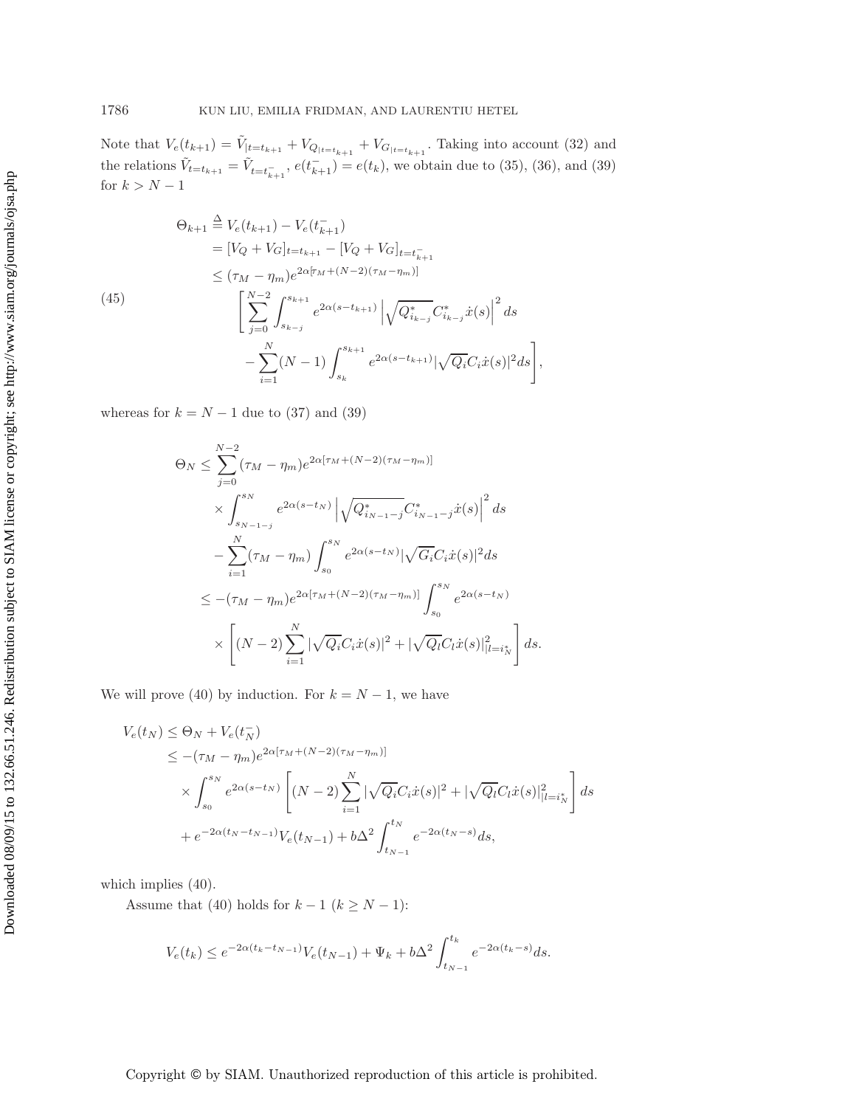<span id="page-18-0"></span>Note that  $V_e(t_{k+1}) = \tilde{V}_{|t=t_{k+1}} + V_{Q_{|t=t_{k+1}}} + V_{G_{|t=t_{k+1}}}$ . Taking into account [\(32\)](#page-11-2) and the relations  $\tilde{V}_{t=t_{k+1}} = \tilde{V}_{t=t_{k+1}}$ ,  $e(t_{k+1}) = e(t_k)$ , we obtain due to [\(35\)](#page-12-0), [\(36\)](#page-12-2), and [\(39\)](#page-12-3) for  $k > N - 1$ 

$$
\Theta_{k+1} \stackrel{\Delta}{=} V_e(t_{k+1}) - V_e(t_{k+1}^-)
$$
  
\n
$$
= [V_Q + V_G]_{t=t_{k+1}} - [V_Q + V_G]_{t=t_{k+1}^-}
$$
  
\n
$$
\leq (\tau_M - \eta_m) e^{2\alpha[\tau_M + (N-2)(\tau_M - \eta_m)]}
$$
  
\n(45)  
\n
$$
\left[ \sum_{j=0}^{N-2} \int_{s_{k-j}}^{s_{k+1}} e^{2\alpha(s-t_{k+1})} \left| \sqrt{Q_{i_{k-j}}^*} C_{i_{k-j}}^* \dot{x}(s) \right|^2 ds - \sum_{i=1}^N (N-1) \int_{s_k}^{s_{k+1}} e^{2\alpha(s-t_{k+1})} |\sqrt{Q_i} C_i \dot{x}(s)|^2 ds \right],
$$

whereas for  $k = N - 1$  due to [\(37\)](#page-12-4) and [\(39\)](#page-12-3)

$$
\Theta_N \leq \sum_{j=0}^{N-2} (\tau_M - \eta_m) e^{2\alpha[\tau_M + (N-2)(\tau_M - \eta_m)]}
$$
  
\n
$$
\times \int_{s_{N-1-j}}^{s_N} e^{2\alpha(s - t_N)} \left| \sqrt{Q_{i_{N-1-j}}^*} C_{i_{N-1-j}}^* \dot{x}(s) \right|^2 ds
$$
  
\n
$$
- \sum_{i=1}^N (\tau_M - \eta_m) \int_{s_0}^{s_N} e^{2\alpha(s - t_N)} |\sqrt{G_i} C_i \dot{x}(s)|^2 ds
$$
  
\n
$$
\leq -(\tau_M - \eta_m) e^{2\alpha[\tau_M + (N-2)(\tau_M - \eta_m)]} \int_{s_0}^{s_N} e^{2\alpha(s - t_N)}
$$
  
\n
$$
\times \left[ (N-2) \sum_{i=1}^N |\sqrt{Q_i} C_i \dot{x}(s)|^2 + |\sqrt{Q_i} C_i \dot{x}(s)|_{|l=i_N^*}^2 \right] ds.
$$

We will prove [\(40\)](#page-13-3) by induction. For  $k = N - 1$ , we have

$$
V_e(t_N) \leq \Theta_N + V_e(t_N^-)
$$
  
\n
$$
\leq -(\tau_M - \eta_m)e^{2\alpha[\tau_M + (N-2)(\tau_M - \eta_m)]}
$$
  
\n
$$
\times \int_{s_0}^{s_N} e^{2\alpha(s - t_N)} \left[ (N-2) \sum_{i=1}^N |\sqrt{Q_i} C_i \dot{x}(s)|^2 + |\sqrt{Q_l} C_l \dot{x}(s)|^2_{|l=i_N^*} \right] ds
$$
  
\n
$$
+ e^{-2\alpha(t_N - t_{N-1})} V_e(t_{N-1}) + b\Delta^2 \int_{t_{N-1}}^{t_N} e^{-2\alpha(t_N - s)} ds,
$$

which implies  $(40)$ .

Assume that [\(40\)](#page-13-3) holds for  $k-1$   $(k\geq N-1)$ 

$$
V_e(t_k) \le e^{-2\alpha(t_k - t_{N-1})} V_e(t_{N-1}) + \Psi_k + b\Delta^2 \int_{t_{N-1}}^{t_k} e^{-2\alpha(t_k - s)} ds.
$$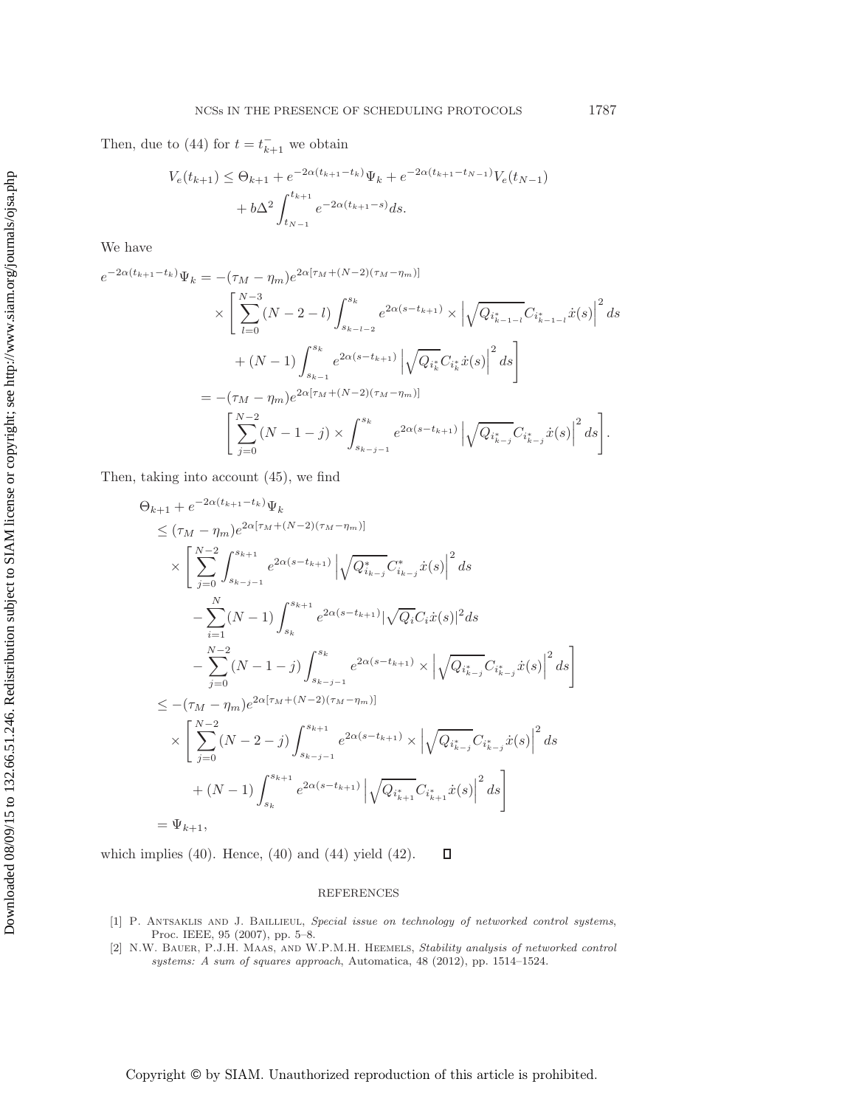Then, due to [\(44\)](#page-17-2) for  $t = t_{k+1}^-$  we obtain

$$
V_e(t_{k+1}) \leq \Theta_{k+1} + e^{-2\alpha(t_{k+1} - t_k)} \Psi_k + e^{-2\alpha(t_{k+1} - t_{N-1})} V_e(t_{N-1})
$$
  
+  $b\Delta^2 \int_{t_{N-1}}^{t_{k+1}} e^{-2\alpha(t_{k+1} - s)} ds.$ 

We have

$$
e^{-2\alpha(t_{k+1}-t_k)}\Psi_k = -(\tau_M - \eta_m)e^{2\alpha[\tau_M + (N-2)(\tau_M - \eta_m)]}
$$
  
\n
$$
\times \left[ \sum_{l=0}^{N-3} (N-2-l) \int_{s_{k-l-2}}^{s_k} e^{2\alpha(s-t_{k+1})} \times \left| \sqrt{Q_{i_{k-1-l}^*}} C_{i_{k-1-l}^*} \dot{x}(s) \right|^2 ds
$$
  
\n
$$
+ (N-1) \int_{s_{k-1}}^{s_k} e^{2\alpha(s-t_{k+1})} \left| \sqrt{Q_{i_k^*}} C_{i_k^*} \dot{x}(s) \right|^2 ds \right]
$$
  
\n
$$
= -(\tau_M - \eta_m)e^{2\alpha[\tau_M + (N-2)(\tau_M - \eta_m)]}
$$
  
\n
$$
\left[ \sum_{j=0}^{N-2} (N-1-j) \times \int_{s_{k-j-1}}^{s_k} e^{2\alpha(s-t_{k+1})} \left| \sqrt{Q_{i_{k-j}^*}} C_{i_{k-j}^*} \dot{x}(s) \right|^2 ds \right].
$$

Then, taking into account [\(45\)](#page-18-0), we find

$$
\Theta_{k+1} + e^{-2\alpha(t_{k+1} - t_k)} \Psi_k
$$
\n
$$
\leq (\tau_M - \eta_m) e^{2\alpha[\tau_M + (N-2)(\tau_M - \eta_m)]}
$$
\n
$$
\times \left[ \sum_{j=0}^{N-2} \int_{s_{k-j-1}}^{s_{k+1}} e^{2\alpha(s - t_{k+1})} \left| \sqrt{Q_{i_{k-j}}^*} C_{i_{k-j}}^* \dot{x}(s) \right|^2 ds \right.
$$
\n
$$
- \sum_{i=1}^N (N-1) \int_{s_k}^{s_{k+1}} e^{2\alpha(s - t_{k+1})} |\sqrt{Q_i} C_i \dot{x}(s)|^2 ds
$$
\n
$$
- \sum_{j=0}^{N-2} (N-1-j) \int_{s_{k-j-1}}^{s_k} e^{2\alpha(s - t_{k+1})} \times \left| \sqrt{Q_{i_{k-j}}^*} C_{i_{k-j}}^* \dot{x}(s) \right|^2 ds \right]
$$
\n
$$
\leq -(\tau_M - \eta_m) e^{2\alpha[\tau_M + (N-2)(\tau_M - \eta_m)]}
$$
\n
$$
\times \left[ \sum_{j=0}^{N-2} (N-2-j) \int_{s_{k-j-1}}^{s_{k+1}} e^{2\alpha(s - t_{k+1})} \times \left| \sqrt{Q_{i_{k-j}}^*} C_{i_{k-j}}^* \dot{x}(s) \right|^2 ds \right.
$$
\n
$$
+ (N-1) \int_{s_k}^{s_{k+1}} e^{2\alpha(s - t_{k+1})} \left| \sqrt{Q_{i_{k+1}}^*} C_{i_{k+1}}^* \dot{x}(s) \right|^2 ds \right]
$$
\n
$$
= \Psi_{k+1},
$$

which implies  $(40)$ . Hence,  $(40)$  and  $(44)$  yield  $(42)$ .  $\Box$ 

### REFERENCES

- <span id="page-19-0"></span>[1] P. Antsaklis and J. Baillieul, Special issue on technology of networked control systems, Proc. IEEE, 95 (2007), pp. 5–8.
- <span id="page-19-1"></span>[2] N.W. Bauer, P.J.H. Maas, and W.P.M.H. Heemels, Stability analysis of networked control systems: A sum of squares approach, Automatica, 48 (2012), pp. 1514–1524.